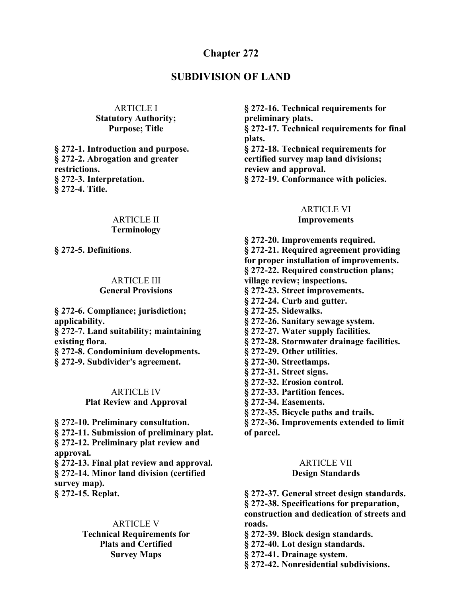#### **Chapter 272**

#### **SUBDIVISION OF LAND**

#### ARTICLE I **Statutory Authority; Purpose; Title**

**§ 272-1. Introduction and purpose. § 272-2. Abrogation and greater restrictions. § 272-3. Interpretation. § 272-4. Title.**

#### ARTICLE II **Terminology**

**§ 272-5. Definitions**.

#### ARTICLE III **General Provisions**

**§ 272-6. Compliance; jurisdiction; applicability. § 272-7. Land suitability; maintaining existing flora. § 272-8. Condominium developments. § 272-9. Subdivider's agreement.**

#### ARTICLE IV

#### **Plat Review and Approval**

**§ 272-10. Preliminary consultation.**

**§ 272-11. Submission of preliminary plat.**

**§ 272-12. Preliminary plat review and approval.**

**§ 272-13. Final plat review and approval. § 272-14. Minor land division (certified survey map). § 272-15. Replat.**

#### ARTICLE V

**Technical Requirements for Plats and Certified Survey Maps**

**§ 272-16. Technical requirements for preliminary plats. § 272-17. Technical requirements for final plats. § 272-18. Technical requirements for certified survey map land divisions; review and approval. § 272-19. Conformance with policies.**

#### ARTICLE VI

#### **Improvements**

**§ 272-20. Improvements required. § 272-21. Required agreement providing for proper installation of improvements. § 272-22. Required construction plans; village review; inspections. § 272-23. Street improvements. § 272-24. Curb and gutter. § 272-25. Sidewalks. § 272-26. Sanitary sewage system. § 272-27. Water supply facilities. § 272-28. Stormwater drainage facilities. § 272-29. Other utilities. § 272-30. Streetlamps. § 272-31. Street signs. § 272-32. Erosion control. § 272-33. Partition fences. § 272-34. Easements. § 272-35. Bicycle paths and trails. § 272-36. Improvements extended to limit**

# **of parcel.**

#### ARTICLE VII

#### **Design Standards**

**§ 272-37. General street design standards.**

**§ 272-38. Specifications for preparation, construction and dedication of streets and roads.**

**§ 272-39. Block design standards.**

- **§ 272-40. Lot design standards.**
- **§ 272-41. Drainage system.**

**§ 272-42. Nonresidential subdivisions.**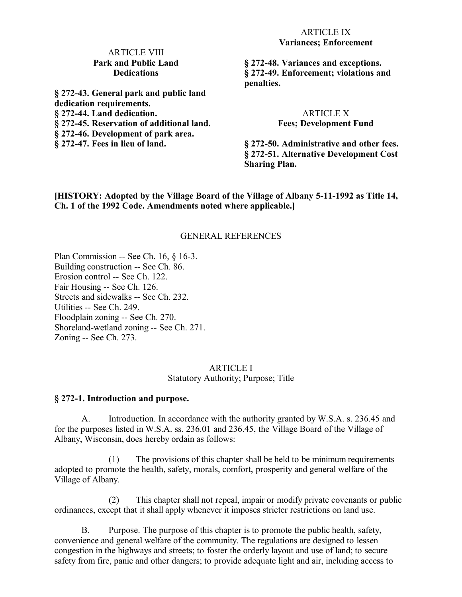#### ARTICLE IX **Variances; Enforcement**

#### ARTICLE VIII **Park and Public Land Dedications**

**§ 272-43. General park and public land dedication requirements. § 272-44. Land dedication. § 272-45. Reservation of additional land. § 272-46. Development of park area. § 272-47. Fees in lieu of land.**

**§ 272-48. Variances and exceptions. § 272-49. Enforcement; violations and penalties.**

#### ARTICLE X **Fees; Development Fund**

**§ 272-50. Administrative and other fees. § 272-51. Alternative Development Cost Sharing Plan.**

**[HISTORY: Adopted by the Village Board of the Village of Albany 5-11-1992 as Title 14, Ch. 1 of the 1992 Code. Amendments noted where applicable.]**

#### GENERAL REFERENCES

Plan Commission -- See Ch. 16, § 16-3. Building construction -- See Ch. 86. Erosion control -- See Ch. 122. Fair Housing -- See Ch. 126. Streets and sidewalks -- See Ch. 232. Utilities -- See Ch. 249. Floodplain zoning -- See Ch. 270. Shoreland-wetland zoning -- See Ch. 271. Zoning -- See Ch. 273.

#### ARTICLE I Statutory Authority; Purpose; Title

#### **§ 272-1. Introduction and purpose.**

A. Introduction. In accordance with the authority granted by W.S.A. s. 236.45 and for the purposes listed in W.S.A. ss. 236.01 and 236.45, the Village Board of the Village of Albany, Wisconsin, does hereby ordain as follows:

(1) The provisions of this chapter shall be held to be minimum requirements adopted to promote the health, safety, morals, comfort, prosperity and general welfare of the Village of Albany.

(2) This chapter shall not repeal, impair or modify private covenants or public ordinances, except that it shall apply whenever it imposes stricter restrictions on land use.

B. Purpose. The purpose of this chapter is to promote the public health, safety, convenience and general welfare of the community. The regulations are designed to lessen congestion in the highways and streets; to foster the orderly layout and use of land; to secure safety from fire, panic and other dangers; to provide adequate light and air, including access to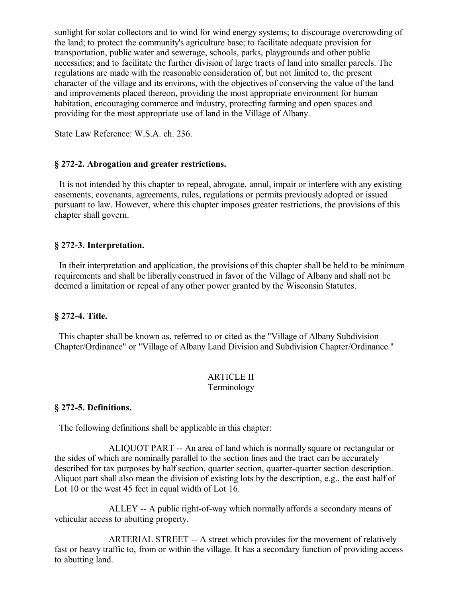sunlight for solar collectors and to wind for wind energy systems; to discourage overcrowding of the land; to protect the community's agriculture base; to facilitate adequate provision for transportation, public water and sewerage, schools, parks, playgrounds and other public necessities; and to facilitate the further division of large tracts of land into smaller parcels. The regulations are made with the reasonable consideration of, but not limited to, the present character of the village and its environs, with the objectives of conserving the value of the land and improvements placed thereon, providing the most appropriate environment for human habitation, encouraging commerce and industry, protecting farming and open spaces and providing for the most appropriate use of land in the Village of Albany.

State Law Reference: W.S.A. ch. 236.

#### **§ 272-2. Abrogation and greater restrictions.**

 It is not intended by this chapter to repeal, abrogate, annul, impair or interfere with any existing easements, covenants, agreements, rules, regulations or permits previously adopted or issued pursuant to law. However, where this chapter imposes greater restrictions, the provisions of this chapter shall govern.

#### **§ 272-3. Interpretation.**

 In their interpretation and application, the provisions of this chapter shall be held to be minimum requirements and shall be liberally construed in favor of the Village of Albany and shall not be deemed a limitation or repeal of any other power granted by the Wisconsin Statutes.

#### **§ 272-4. Title.**

 This chapter shall be known as, referred to or cited as the "Village of Albany Subdivision Chapter/Ordinance" or "Village of Albany Land Division and Subdivision Chapter/Ordinance."

#### ARTICLE II Terminology

#### **§ 272-5. Definitions.**

The following definitions shall be applicable in this chapter:

ALIQUOT PART -- An area of land which is normally square or rectangular or the sides of which are nominally parallel to the section lines and the tract can be accurately described for tax purposes by half section, quarter section, quarter-quarter section description. Aliquot part shall also mean the division of existing lots by the description, e.g., the east half of Lot 10 or the west 45 feet in equal width of Lot 16.

ALLEY -- A public right-of-way which normally affords a secondary means of vehicular access to abutting property.

ARTERIAL STREET -- A street which provides for the movement of relatively fast or heavy traffic to, from or within the village. It has a secondary function of providing access to abutting land.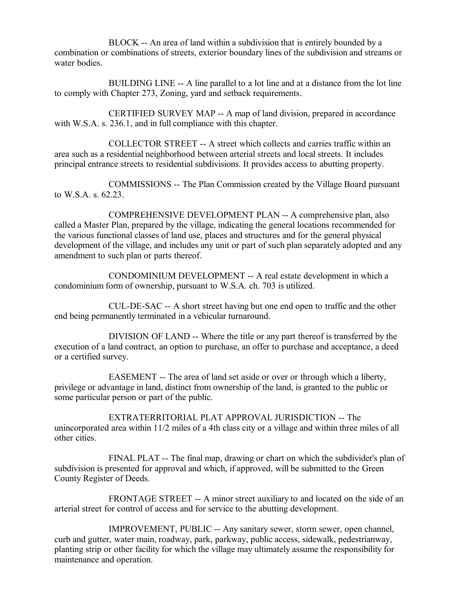BLOCK -- An area of land within a subdivision that is entirely bounded by a combination or combinations of streets, exterior boundary lines of the subdivision and streams or water bodies.

BUILDING LINE -- A line parallel to a lot line and at a distance from the lot line to comply with Chapter 273, Zoning, yard and setback requirements.

CERTIFIED SURVEY MAP -- A map of land division, prepared in accordance with W.S.A. s. 236.1, and in full compliance with this chapter.

COLLECTOR STREET -- A street which collects and carries traffic within an area such as a residential neighborhood between arterial streets and local streets. It includes principal entrance streets to residential subdivisions. It provides access to abutting property.

COMMISSIONS -- The Plan Commission created by the Village Board pursuant to W.S.A. s. 62.23.

COMPREHENSIVE DEVELOPMENT PLAN -- A comprehensive plan, also called a Master Plan, prepared by the village, indicating the general locations recommended for the various functional classes of land use, places and structures and for the general physical development of the village, and includes any unit or part of such plan separately adopted and any amendment to such plan or parts thereof.

CONDOMINIUM DEVELOPMENT -- A real estate development in which a condominium form of ownership, pursuant to W.S.A. ch. 703 is utilized.

CUL-DE-SAC -- A short street having but one end open to traffic and the other end being permanently terminated in a vehicular turnaround.

DIVISION OF LAND -- Where the title or any part thereof is transferred by the execution of a land contract, an option to purchase, an offer to purchase and acceptance, a deed or a certified survey.

EASEMENT -- The area of land set aside or over or through which a liberty, privilege or advantage in land, distinct from ownership of the land, is granted to the public or some particular person or part of the public.

EXTRATERRITORIAL PLAT APPROVAL JURISDICTION -- The unincorporated area within 11/2 miles of a 4th class city or a village and within three miles of all other cities.

FINAL PLAT -- The final map, drawing or chart on which the subdivider's plan of subdivision is presented for approval and which, if approved, will be submitted to the Green County Register of Deeds.

FRONTAGE STREET -- A minor street auxiliary to and located on the side of an arterial street for control of access and for service to the abutting development.

IMPROVEMENT, PUBLIC -- Any sanitary sewer, storm sewer, open channel, curb and gutter, water main, roadway, park, parkway, public access, sidewalk, pedestrianway, planting strip or other facility for which the village may ultimately assume the responsibility for maintenance and operation.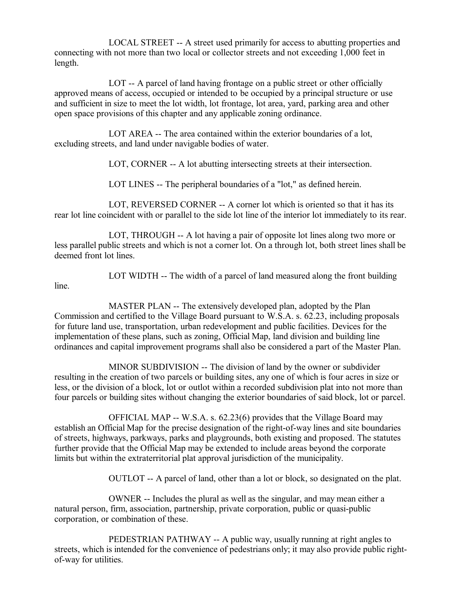LOCAL STREET -- A street used primarily for access to abutting properties and connecting with not more than two local or collector streets and not exceeding 1,000 feet in length.

LOT -- A parcel of land having frontage on a public street or other officially approved means of access, occupied or intended to be occupied by a principal structure or use and sufficient in size to meet the lot width, lot frontage, lot area, yard, parking area and other open space provisions of this chapter and any applicable zoning ordinance.

LOT AREA -- The area contained within the exterior boundaries of a lot, excluding streets, and land under navigable bodies of water.

LOT, CORNER -- A lot abutting intersecting streets at their intersection.

LOT LINES -- The peripheral boundaries of a "lot," as defined herein.

LOT, REVERSED CORNER -- A corner lot which is oriented so that it has its rear lot line coincident with or parallel to the side lot line of the interior lot immediately to its rear.

LOT, THROUGH -- A lot having a pair of opposite lot lines along two more or less parallel public streets and which is not a corner lot. On a through lot, both street lines shall be deemed front lot lines.

LOT WIDTH -- The width of a parcel of land measured along the front building

line.

MASTER PLAN -- The extensively developed plan, adopted by the Plan Commission and certified to the Village Board pursuant to W.S.A. s. 62.23, including proposals for future land use, transportation, urban redevelopment and public facilities. Devices for the implementation of these plans, such as zoning, Official Map, land division and building line ordinances and capital improvement programs shall also be considered a part of the Master Plan.

MINOR SUBDIVISION -- The division of land by the owner or subdivider resulting in the creation of two parcels or building sites, any one of which is four acres in size or less, or the division of a block, lot or outlot within a recorded subdivision plat into not more than four parcels or building sites without changing the exterior boundaries of said block, lot or parcel.

OFFICIAL MAP -- W.S.A. s. 62.23(6) provides that the Village Board may establish an Official Map for the precise designation of the right-of-way lines and site boundaries of streets, highways, parkways, parks and playgrounds, both existing and proposed. The statutes further provide that the Official Map may be extended to include areas beyond the corporate limits but within the extraterritorial plat approval jurisdiction of the municipality.

OUTLOT -- A parcel of land, other than a lot or block, so designated on the plat.

OWNER -- Includes the plural as well as the singular, and may mean either a natural person, firm, association, partnership, private corporation, public or quasi-public corporation, or combination of these.

PEDESTRIAN PATHWAY -- A public way, usually running at right angles to streets, which is intended for the convenience of pedestrians only; it may also provide public rightof-way for utilities.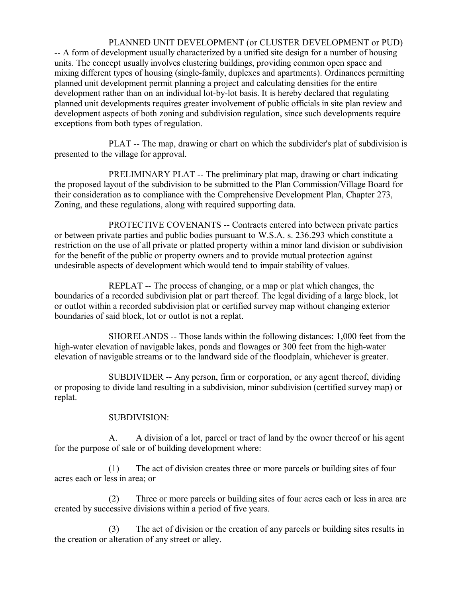PLANNED UNIT DEVELOPMENT (or CLUSTER DEVELOPMENT or PUD) -- A form of development usually characterized by a unified site design for a number of housing units. The concept usually involves clustering buildings, providing common open space and mixing different types of housing (single-family, duplexes and apartments). Ordinances permitting planned unit development permit planning a project and calculating densities for the entire development rather than on an individual lot-by-lot basis. It is hereby declared that regulating planned unit developments requires greater involvement of public officials in site plan review and development aspects of both zoning and subdivision regulation, since such developments require exceptions from both types of regulation.

PLAT -- The map, drawing or chart on which the subdivider's plat of subdivision is presented to the village for approval.

PRELIMINARY PLAT -- The preliminary plat map, drawing or chart indicating the proposed layout of the subdivision to be submitted to the Plan Commission/Village Board for their consideration as to compliance with the Comprehensive Development Plan, Chapter 273, Zoning, and these regulations, along with required supporting data.

PROTECTIVE COVENANTS -- Contracts entered into between private parties or between private parties and public bodies pursuant to W.S.A. s. 236.293 which constitute a restriction on the use of all private or platted property within a minor land division or subdivision for the benefit of the public or property owners and to provide mutual protection against undesirable aspects of development which would tend to impair stability of values.

REPLAT -- The process of changing, or a map or plat which changes, the boundaries of a recorded subdivision plat or part thereof. The legal dividing of a large block, lot or outlot within a recorded subdivision plat or certified survey map without changing exterior boundaries of said block, lot or outlot is not a replat.

SHORELANDS -- Those lands within the following distances: 1,000 feet from the high-water elevation of navigable lakes, ponds and flowages or 300 feet from the high-water elevation of navigable streams or to the landward side of the floodplain, whichever is greater.

SUBDIVIDER -- Any person, firm or corporation, or any agent thereof, dividing or proposing to divide land resulting in a subdivision, minor subdivision (certified survey map) or replat.

## SUBDIVISION:

A. A division of a lot, parcel or tract of land by the owner thereof or his agent for the purpose of sale or of building development where:

(1) The act of division creates three or more parcels or building sites of four acres each or less in area; or

(2) Three or more parcels or building sites of four acres each or less in area are created by successive divisions within a period of five years.

(3) The act of division or the creation of any parcels or building sites results in the creation or alteration of any street or alley.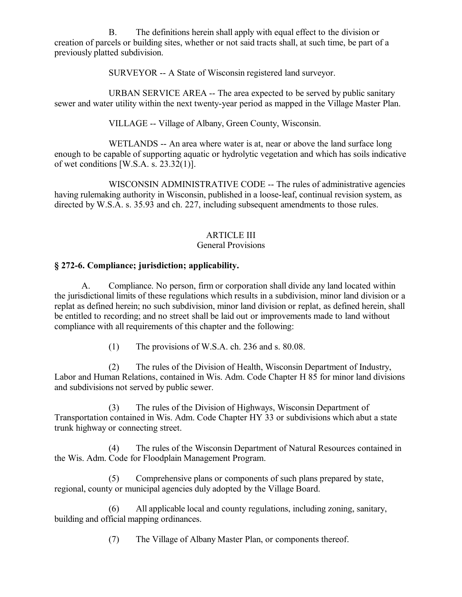B. The definitions herein shall apply with equal effect to the division or creation of parcels or building sites, whether or not said tracts shall, at such time, be part of a previously platted subdivision.

SURVEYOR -- A State of Wisconsin registered land surveyor.

URBAN SERVICE AREA -- The area expected to be served by public sanitary sewer and water utility within the next twenty-year period as mapped in the Village Master Plan.

VILLAGE -- Village of Albany, Green County, Wisconsin.

WETLANDS -- An area where water is at, near or above the land surface long enough to be capable of supporting aquatic or hydrolytic vegetation and which has soils indicative of wet conditions  $[W.S.A. s. 23.32(1)].$ 

WISCONSIN ADMINISTRATIVE CODE -- The rules of administrative agencies having rulemaking authority in Wisconsin, published in a loose-leaf, continual revision system, as directed by W.S.A. s. 35.93 and ch. 227, including subsequent amendments to those rules.

## ARTICLE III

## General Provisions

## **§ 272-6. Compliance; jurisdiction; applicability.**

A. Compliance. No person, firm or corporation shall divide any land located within the jurisdictional limits of these regulations which results in a subdivision, minor land division or a replat as defined herein; no such subdivision, minor land division or replat, as defined herein, shall be entitled to recording; and no street shall be laid out or improvements made to land without compliance with all requirements of this chapter and the following:

(1) The provisions of W.S.A. ch. 236 and s. 80.08.

(2) The rules of the Division of Health, Wisconsin Department of Industry, Labor and Human Relations, contained in Wis. Adm. Code Chapter H 85 for minor land divisions and subdivisions not served by public sewer.

(3) The rules of the Division of Highways, Wisconsin Department of Transportation contained in Wis. Adm. Code Chapter HY 33 or subdivisions which abut a state trunk highway or connecting street.

(4) The rules of the Wisconsin Department of Natural Resources contained in the Wis. Adm. Code for Floodplain Management Program.

(5) Comprehensive plans or components of such plans prepared by state, regional, county or municipal agencies duly adopted by the Village Board.

(6) All applicable local and county regulations, including zoning, sanitary, building and official mapping ordinances.

(7) The Village of Albany Master Plan, or components thereof.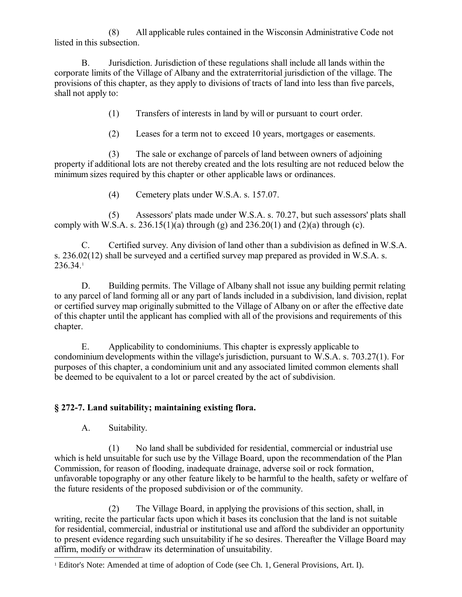(8) All applicable rules contained in the Wisconsin Administrative Code not listed in this subsection.

B. Jurisdiction. Jurisdiction of these regulations shall include all lands within the corporate limits of the Village of Albany and the extraterritorial jurisdiction of the village. The provisions of this chapter, as they apply to divisions of tracts of land into less than five parcels, shall not apply to:

(1) Transfers of interests in land by will or pursuant to court order.

(2) Leases for a term not to exceed 10 years, mortgages or easements.

(3) The sale or exchange of parcels of land between owners of adjoining property if additional lots are not thereby created and the lots resulting are not reduced below the minimum sizes required by this chapter or other applicable laws or ordinances.

(4) Cemetery plats under W.S.A. s. 157.07.

(5) Assessors' plats made under W.S.A. s. 70.27, but such assessors' plats shall comply with W.S.A. s.  $236.15(1)(a)$  through (g) and  $236.20(1)$  and  $(2)(a)$  through (c).

C. Certified survey. Any division of land other than a subdivision as defined in W.S.A. s. 236.02(12) shall be surveyed and a certified survey map prepared as provided in W.S.A. s. 236.34.[1](#page-7-0)

D. Building permits. The Village of Albany shall not issue any building permit relating to any parcel of land forming all or any part of lands included in a subdivision, land division, replat or certified survey map originally submitted to the Village of Albany on or after the effective date of this chapter until the applicant has complied with all of the provisions and requirements of this chapter.

E. Applicability to condominiums. This chapter is expressly applicable to condominium developments within the village's jurisdiction, pursuant to W.S.A. s. 703.27(1). For purposes of this chapter, a condominium unit and any associated limited common elements shall be deemed to be equivalent to a lot or parcel created by the act of subdivision.

## **§ 272-7. Land suitability; maintaining existing flora.**

A. Suitability.

(1) No land shall be subdivided for residential, commercial or industrial use which is held unsuitable for such use by the Village Board, upon the recommendation of the Plan Commission, for reason of flooding, inadequate drainage, adverse soil or rock formation, unfavorable topography or any other feature likely to be harmful to the health, safety or welfare of the future residents of the proposed subdivision or of the community.

(2) The Village Board, in applying the provisions of this section, shall, in writing, recite the particular facts upon which it bases its conclusion that the land is not suitable for residential, commercial, industrial or institutional use and afford the subdivider an opportunity to present evidence regarding such unsuitability if he so desires. Thereafter the Village Board may affirm, modify or withdraw its determination of unsuitability.

<span id="page-7-0"></span><sup>1</sup> Editor's Note: Amended at time of adoption of Code (see Ch. 1, General Provisions, Art. I).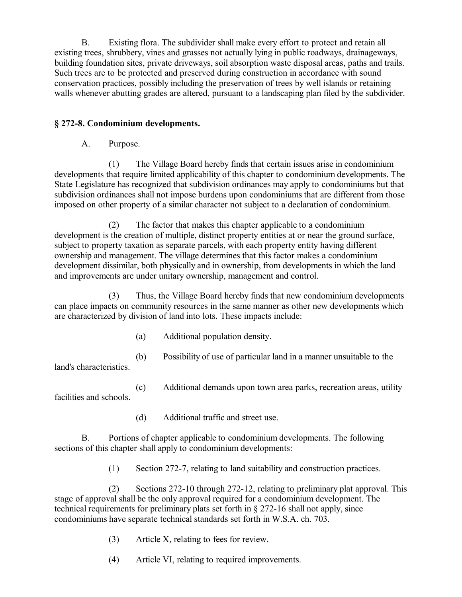B. Existing flora. The subdivider shall make every effort to protect and retain all existing trees, shrubbery, vines and grasses not actually lying in public roadways, drainageways, building foundation sites, private driveways, soil absorption waste disposal areas, paths and trails. Such trees are to be protected and preserved during construction in accordance with sound conservation practices, possibly including the preservation of trees by well islands or retaining walls whenever abutting grades are altered, pursuant to a landscaping plan filed by the subdivider.

## **§ 272-8. Condominium developments.**

A. Purpose.

(1) The Village Board hereby finds that certain issues arise in condominium developments that require limited applicability of this chapter to condominium developments. The State Legislature has recognized that subdivision ordinances may apply to condominiums but that subdivision ordinances shall not impose burdens upon condominiums that are different from those imposed on other property of a similar character not subject to a declaration of condominium.

(2) The factor that makes this chapter applicable to a condominium development is the creation of multiple, distinct property entities at or near the ground surface, subject to property taxation as separate parcels, with each property entity having different ownership and management. The village determines that this factor makes a condominium development dissimilar, both physically and in ownership, from developments in which the land and improvements are under unitary ownership, management and control.

(3) Thus, the Village Board hereby finds that new condominium developments can place impacts on community resources in the same manner as other new developments which are characterized by division of land into lots. These impacts include:

- (a) Additional population density.
- (b) Possibility of use of particular land in a manner unsuitable to the land's characteristics.

(c) Additional demands upon town area parks, recreation areas, utility facilities and schools.

(d) Additional traffic and street use.

B. Portions of chapter applicable to condominium developments. The following sections of this chapter shall apply to condominium developments:

(1) Section 272-7, relating to land suitability and construction practices.

(2) Sections 272-10 through 272-12, relating to preliminary plat approval. This stage of approval shall be the only approval required for a condominium development. The technical requirements for preliminary plats set forth in § 272-16 shall not apply, since condominiums have separate technical standards set forth in W.S.A. ch. 703.

- (3) Article X, relating to fees for review.
- (4) Article VI, relating to required improvements.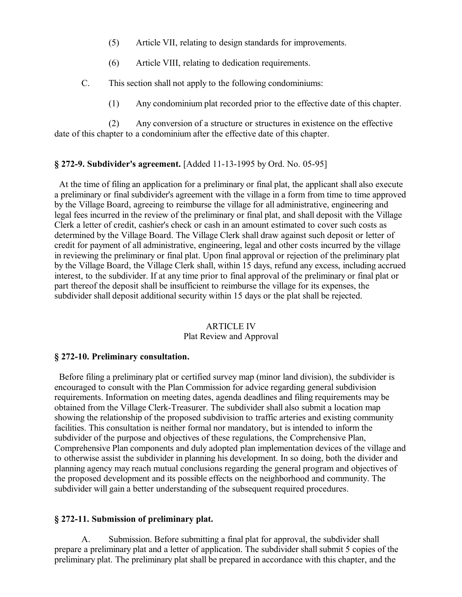- (5) Article VII, relating to design standards for improvements.
- (6) Article VIII, relating to dedication requirements.
- C. This section shall not apply to the following condominiums:
	- (1) Any condominium plat recorded prior to the effective date of this chapter.

(2) Any conversion of a structure or structures in existence on the effective date of this chapter to a condominium after the effective date of this chapter.

#### **§ 272-9. Subdivider's agreement.** [Added 11-13-1995 by Ord. No. 05-95]

 At the time of filing an application for a preliminary or final plat, the applicant shall also execute a preliminary or final subdivider's agreement with the village in a form from time to time approved by the Village Board, agreeing to reimburse the village for all administrative, engineering and legal fees incurred in the review of the preliminary or final plat, and shall deposit with the Village Clerk a letter of credit, cashier's check or cash in an amount estimated to cover such costs as determined by the Village Board. The Village Clerk shall draw against such deposit or letter of credit for payment of all administrative, engineering, legal and other costs incurred by the village in reviewing the preliminary or final plat. Upon final approval or rejection of the preliminary plat by the Village Board, the Village Clerk shall, within 15 days, refund any excess, including accrued interest, to the subdivider. If at any time prior to final approval of the preliminary or final plat or part thereof the deposit shall be insufficient to reimburse the village for its expenses, the subdivider shall deposit additional security within 15 days or the plat shall be rejected.

# ARTICLE IV

#### Plat Review and Approval

#### **§ 272-10. Preliminary consultation.**

 Before filing a preliminary plat or certified survey map (minor land division), the subdivider is encouraged to consult with the Plan Commission for advice regarding general subdivision requirements. Information on meeting dates, agenda deadlines and filing requirements may be obtained from the Village Clerk-Treasurer. The subdivider shall also submit a location map showing the relationship of the proposed subdivision to traffic arteries and existing community facilities. This consultation is neither formal nor mandatory, but is intended to inform the subdivider of the purpose and objectives of these regulations, the Comprehensive Plan, Comprehensive Plan components and duly adopted plan implementation devices of the village and to otherwise assist the subdivider in planning his development. In so doing, both the divider and planning agency may reach mutual conclusions regarding the general program and objectives of the proposed development and its possible effects on the neighborhood and community. The subdivider will gain a better understanding of the subsequent required procedures.

#### **§ 272-11. Submission of preliminary plat.**

A. Submission. Before submitting a final plat for approval, the subdivider shall prepare a preliminary plat and a letter of application. The subdivider shall submit 5 copies of the preliminary plat. The preliminary plat shall be prepared in accordance with this chapter, and the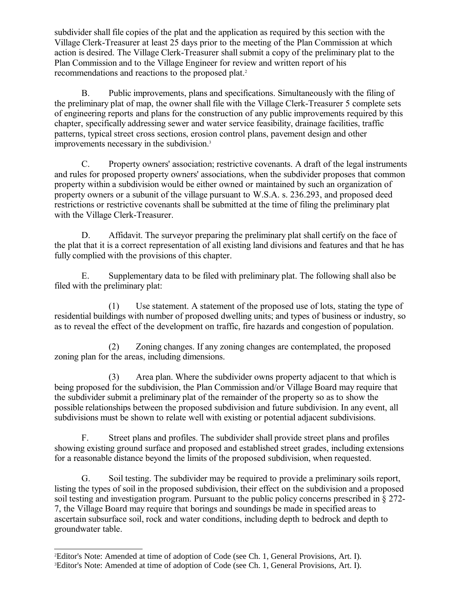subdivider shall file copies of the plat and the application as required by this section with the Village Clerk-Treasurer at least 25 days prior to the meeting of the Plan Commission at which action is desired. The Village Clerk-Treasurer shall submit a copy of the preliminary plat to the Plan Commission and to the Village Engineer for review and written report of his recommendations and reactions to the proposed plat.<sup>[2](#page-10-0)</sup>

B. Public improvements, plans and specifications. Simultaneously with the filing of the preliminary plat of map, the owner shall file with the Village Clerk-Treasurer 5 complete sets of engineering reports and plans for the construction of any public improvements required by this chapter, specifically addressing sewer and water service feasibility, drainage facilities, traffic patterns, typical street cross sections, erosion control plans, pavement design and other improvements necessary in the subdivision.[3](#page-10-1)

C. Property owners' association; restrictive covenants. A draft of the legal instruments and rules for proposed property owners' associations, when the subdivider proposes that common property within a subdivision would be either owned or maintained by such an organization of property owners or a subunit of the village pursuant to W.S.A. s. 236.293, and proposed deed restrictions or restrictive covenants shall be submitted at the time of filing the preliminary plat with the Village Clerk-Treasurer.

D. Affidavit. The surveyor preparing the preliminary plat shall certify on the face of the plat that it is a correct representation of all existing land divisions and features and that he has fully complied with the provisions of this chapter.

E. Supplementary data to be filed with preliminary plat. The following shall also be filed with the preliminary plat:

(1) Use statement. A statement of the proposed use of lots, stating the type of residential buildings with number of proposed dwelling units; and types of business or industry, so as to reveal the effect of the development on traffic, fire hazards and congestion of population.

(2) Zoning changes. If any zoning changes are contemplated, the proposed zoning plan for the areas, including dimensions.

(3) Area plan. Where the subdivider owns property adjacent to that which is being proposed for the subdivision, the Plan Commission and/or Village Board may require that the subdivider submit a preliminary plat of the remainder of the property so as to show the possible relationships between the proposed subdivision and future subdivision. In any event, all subdivisions must be shown to relate well with existing or potential adjacent subdivisions.

F. Street plans and profiles. The subdivider shall provide street plans and profiles showing existing ground surface and proposed and established street grades, including extensions for a reasonable distance beyond the limits of the proposed subdivision, when requested.

G. Soil testing. The subdivider may be required to provide a preliminary soils report, listing the types of soil in the proposed subdivision, their effect on the subdivision and a proposed soil testing and investigation program. Pursuant to the public policy concerns prescribed in § 272- 7, the Village Board may require that borings and soundings be made in specified areas to ascertain subsurface soil, rock and water conditions, including depth to bedrock and depth to groundwater table.

<span id="page-10-1"></span><span id="page-10-0"></span><sup>2</sup>Editor's Note: Amended at time of adoption of Code (see Ch. 1, General Provisions, Art. I). 3Editor's Note: Amended at time of adoption of Code (see Ch. 1, General Provisions, Art. I).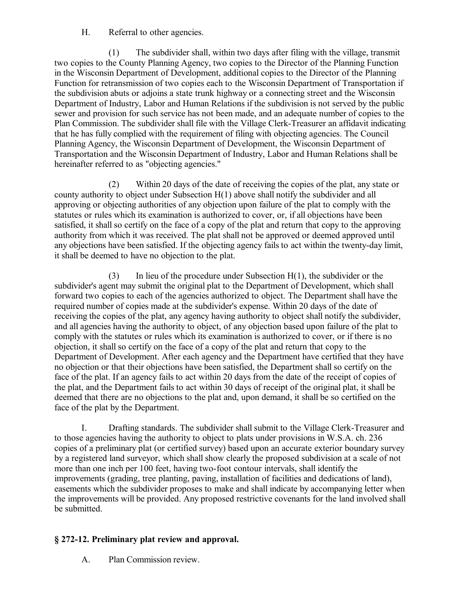H. Referral to other agencies.

(1) The subdivider shall, within two days after filing with the village, transmit two copies to the County Planning Agency, two copies to the Director of the Planning Function in the Wisconsin Department of Development, additional copies to the Director of the Planning Function for retransmission of two copies each to the Wisconsin Department of Transportation if the subdivision abuts or adjoins a state trunk highway or a connecting street and the Wisconsin Department of Industry, Labor and Human Relations if the subdivision is not served by the public sewer and provision for such service has not been made, and an adequate number of copies to the Plan Commission. The subdivider shall file with the Village Clerk-Treasurer an affidavit indicating that he has fully complied with the requirement of filing with objecting agencies. The Council Planning Agency, the Wisconsin Department of Development, the Wisconsin Department of Transportation and the Wisconsin Department of Industry, Labor and Human Relations shall be hereinafter referred to as "objecting agencies."

(2) Within 20 days of the date of receiving the copies of the plat, any state or county authority to object under Subsection H(1) above shall notify the subdivider and all approving or objecting authorities of any objection upon failure of the plat to comply with the statutes or rules which its examination is authorized to cover, or, if all objections have been satisfied, it shall so certify on the face of a copy of the plat and return that copy to the approving authority from which it was received. The plat shall not be approved or deemed approved until any objections have been satisfied. If the objecting agency fails to act within the twenty-day limit, it shall be deemed to have no objection to the plat.

(3) In lieu of the procedure under Subsection  $H(1)$ , the subdivider or the subdivider's agent may submit the original plat to the Department of Development, which shall forward two copies to each of the agencies authorized to object. The Department shall have the required number of copies made at the subdivider's expense. Within 20 days of the date of receiving the copies of the plat, any agency having authority to object shall notify the subdivider, and all agencies having the authority to object, of any objection based upon failure of the plat to comply with the statutes or rules which its examination is authorized to cover, or if there is no objection, it shall so certify on the face of a copy of the plat and return that copy to the Department of Development. After each agency and the Department have certified that they have no objection or that their objections have been satisfied, the Department shall so certify on the face of the plat. If an agency fails to act within 20 days from the date of the receipt of copies of the plat, and the Department fails to act within 30 days of receipt of the original plat, it shall be deemed that there are no objections to the plat and, upon demand, it shall be so certified on the face of the plat by the Department.

I. Drafting standards. The subdivider shall submit to the Village Clerk-Treasurer and to those agencies having the authority to object to plats under provisions in W.S.A. ch. 236 copies of a preliminary plat (or certified survey) based upon an accurate exterior boundary survey by a registered land surveyor, which shall show clearly the proposed subdivision at a scale of not more than one inch per 100 feet, having two-foot contour intervals, shall identify the improvements (grading, tree planting, paving, installation of facilities and dedications of land), easements which the subdivider proposes to make and shall indicate by accompanying letter when the improvements will be provided. Any proposed restrictive covenants for the land involved shall be submitted.

# **§ 272-12. Preliminary plat review and approval.**

A. Plan Commission review.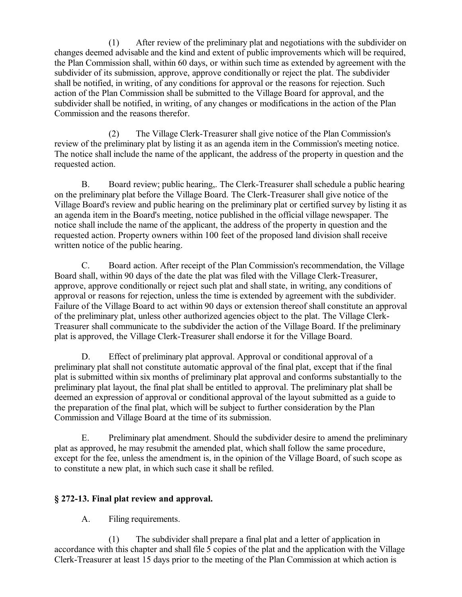(1) After review of the preliminary plat and negotiations with the subdivider on changes deemed advisable and the kind and extent of public improvements which will be required, the Plan Commission shall, within 60 days, or within such time as extended by agreement with the subdivider of its submission, approve, approve conditionally or reject the plat. The subdivider shall be notified, in writing, of any conditions for approval or the reasons for rejection. Such action of the Plan Commission shall be submitted to the Village Board for approval, and the subdivider shall be notified, in writing, of any changes or modifications in the action of the Plan Commission and the reasons therefor.

(2) The Village Clerk-Treasurer shall give notice of the Plan Commission's review of the preliminary plat by listing it as an agenda item in the Commission's meeting notice. The notice shall include the name of the applicant, the address of the property in question and the requested action.

B. Board review; public hearing,. The Clerk-Treasurer shall schedule a public hearing on the preliminary plat before the Village Board. The Clerk-Treasurer shall give notice of the Village Board's review and public hearing on the preliminary plat or certified survey by listing it as an agenda item in the Board's meeting, notice published in the official village newspaper. The notice shall include the name of the applicant, the address of the property in question and the requested action. Property owners within 100 feet of the proposed land division shall receive written notice of the public hearing.

C. Board action. After receipt of the Plan Commission's recommendation, the Village Board shall, within 90 days of the date the plat was filed with the Village Clerk-Treasurer, approve, approve conditionally or reject such plat and shall state, in writing, any conditions of approval or reasons for rejection, unless the time is extended by agreement with the subdivider. Failure of the Village Board to act within 90 days or extension thereof shall constitute an approval of the preliminary plat, unless other authorized agencies object to the plat. The Village Clerk-Treasurer shall communicate to the subdivider the action of the Village Board. If the preliminary plat is approved, the Village Clerk-Treasurer shall endorse it for the Village Board.

D. Effect of preliminary plat approval. Approval or conditional approval of a preliminary plat shall not constitute automatic approval of the final plat, except that if the final plat is submitted within six months of preliminary plat approval and conforms substantially to the preliminary plat layout, the final plat shall be entitled to approval. The preliminary plat shall be deemed an expression of approval or conditional approval of the layout submitted as a guide to the preparation of the final plat, which will be subject to further consideration by the Plan Commission and Village Board at the time of its submission.

E. Preliminary plat amendment. Should the subdivider desire to amend the preliminary plat as approved, he may resubmit the amended plat, which shall follow the same procedure, except for the fee, unless the amendment is, in the opinion of the Village Board, of such scope as to constitute a new plat, in which such case it shall be refiled.

## **§ 272-13. Final plat review and approval.**

A. Filing requirements.

(1) The subdivider shall prepare a final plat and a letter of application in accordance with this chapter and shall file 5 copies of the plat and the application with the Village Clerk-Treasurer at least 15 days prior to the meeting of the Plan Commission at which action is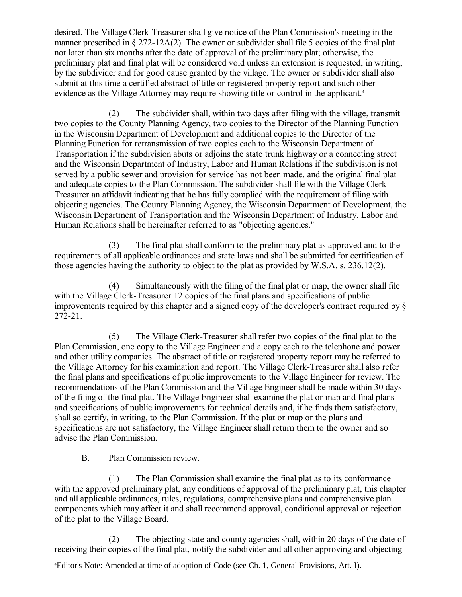desired. The Village Clerk-Treasurer shall give notice of the Plan Commission's meeting in the manner prescribed in § 272-12A(2). The owner or subdivider shall file 5 copies of the final plat not later than six months after the date of approval of the preliminary plat; otherwise, the preliminary plat and final plat will be considered void unless an extension is requested, in writing, by the subdivider and for good cause granted by the village. The owner or subdivider shall also submit at this time a certified abstract of title or registered property report and such other evidence as the Village Attorney may require showing title or control in the applicant.<sup>[4](#page-13-0)</sup>

(2) The subdivider shall, within two days after filing with the village, transmit two copies to the County Planning Agency, two copies to the Director of the Planning Function in the Wisconsin Department of Development and additional copies to the Director of the Planning Function for retransmission of two copies each to the Wisconsin Department of Transportation if the subdivision abuts or adjoins the state trunk highway or a connecting street and the Wisconsin Department of Industry, Labor and Human Relations if the subdivision is not served by a public sewer and provision for service has not been made, and the original final plat and adequate copies to the Plan Commission. The subdivider shall file with the Village Clerk-Treasurer an affidavit indicating that he has fully complied with the requirement of filing with objecting agencies. The County Planning Agency, the Wisconsin Department of Development, the Wisconsin Department of Transportation and the Wisconsin Department of Industry, Labor and Human Relations shall be hereinafter referred to as "objecting agencies."

(3) The final plat shall conform to the preliminary plat as approved and to the requirements of all applicable ordinances and state laws and shall be submitted for certification of those agencies having the authority to object to the plat as provided by W.S.A. s. 236.12(2).

(4) Simultaneously with the filing of the final plat or map, the owner shall file with the Village Clerk-Treasurer 12 copies of the final plans and specifications of public improvements required by this chapter and a signed copy of the developer's contract required by § 272-21.

(5) The Village Clerk-Treasurer shall refer two copies of the final plat to the Plan Commission, one copy to the Village Engineer and a copy each to the telephone and power and other utility companies. The abstract of title or registered property report may be referred to the Village Attorney for his examination and report. The Village Clerk-Treasurer shall also refer the final plans and specifications of public improvements to the Village Engineer for review. The recommendations of the Plan Commission and the Village Engineer shall be made within 30 days of the filing of the final plat. The Village Engineer shall examine the plat or map and final plans and specifications of public improvements for technical details and, if he finds them satisfactory, shall so certify, in writing, to the Plan Commission. If the plat or map or the plans and specifications are not satisfactory, the Village Engineer shall return them to the owner and so advise the Plan Commission.

B. Plan Commission review.

(1) The Plan Commission shall examine the final plat as to its conformance with the approved preliminary plat, any conditions of approval of the preliminary plat, this chapter and all applicable ordinances, rules, regulations, comprehensive plans and comprehensive plan components which may affect it and shall recommend approval, conditional approval or rejection of the plat to the Village Board.

(2) The objecting state and county agencies shall, within 20 days of the date of receiving their copies of the final plat, notify the subdivider and all other approving and objecting

<span id="page-13-0"></span><sup>4</sup>Editor's Note: Amended at time of adoption of Code (see Ch. 1, General Provisions, Art. I).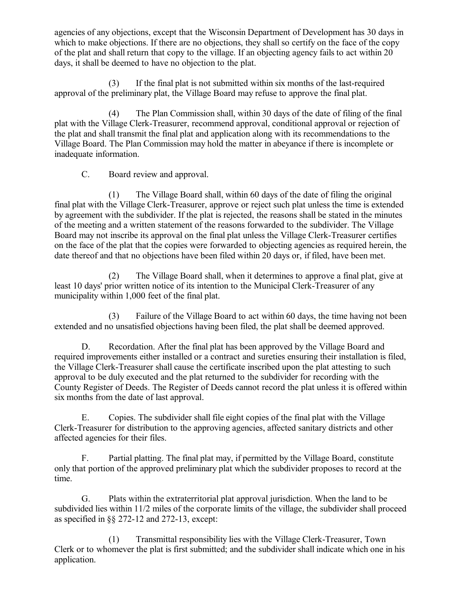agencies of any objections, except that the Wisconsin Department of Development has 30 days in which to make objections. If there are no objections, they shall so certify on the face of the copy of the plat and shall return that copy to the village. If an objecting agency fails to act within 20 days, it shall be deemed to have no objection to the plat.

(3) If the final plat is not submitted within six months of the last-required approval of the preliminary plat, the Village Board may refuse to approve the final plat.

(4) The Plan Commission shall, within 30 days of the date of filing of the final plat with the Village Clerk-Treasurer, recommend approval, conditional approval or rejection of the plat and shall transmit the final plat and application along with its recommendations to the Village Board. The Plan Commission may hold the matter in abeyance if there is incomplete or inadequate information.

C. Board review and approval.

(1) The Village Board shall, within 60 days of the date of filing the original final plat with the Village Clerk-Treasurer, approve or reject such plat unless the time is extended by agreement with the subdivider. If the plat is rejected, the reasons shall be stated in the minutes of the meeting and a written statement of the reasons forwarded to the subdivider. The Village Board may not inscribe its approval on the final plat unless the Village Clerk-Treasurer certifies on the face of the plat that the copies were forwarded to objecting agencies as required herein, the date thereof and that no objections have been filed within 20 days or, if filed, have been met.

(2) The Village Board shall, when it determines to approve a final plat, give at least 10 days' prior written notice of its intention to the Municipal Clerk-Treasurer of any municipality within 1,000 feet of the final plat.

(3) Failure of the Village Board to act within 60 days, the time having not been extended and no unsatisfied objections having been filed, the plat shall be deemed approved.

D. Recordation. After the final plat has been approved by the Village Board and required improvements either installed or a contract and sureties ensuring their installation is filed, the Village Clerk-Treasurer shall cause the certificate inscribed upon the plat attesting to such approval to be duly executed and the plat returned to the subdivider for recording with the County Register of Deeds. The Register of Deeds cannot record the plat unless it is offered within six months from the date of last approval.

E. Copies. The subdivider shall file eight copies of the final plat with the Village Clerk-Treasurer for distribution to the approving agencies, affected sanitary districts and other affected agencies for their files.

F. Partial platting. The final plat may, if permitted by the Village Board, constitute only that portion of the approved preliminary plat which the subdivider proposes to record at the time.

G. Plats within the extraterritorial plat approval jurisdiction. When the land to be subdivided lies within 11/2 miles of the corporate limits of the village, the subdivider shall proceed as specified in §§ 272-12 and 272-13, except:

(1) Transmittal responsibility lies with the Village Clerk-Treasurer, Town Clerk or to whomever the plat is first submitted; and the subdivider shall indicate which one in his application.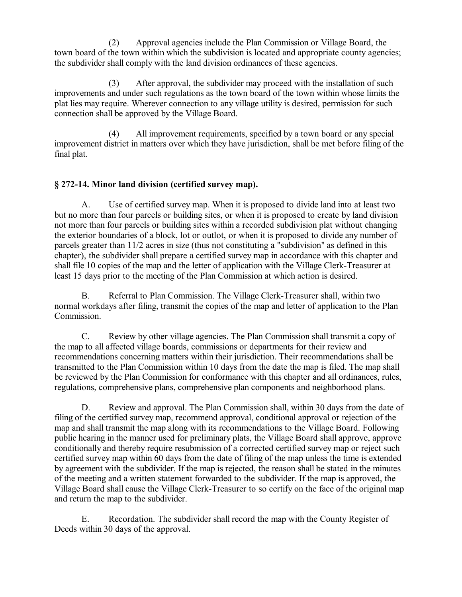(2) Approval agencies include the Plan Commission or Village Board, the town board of the town within which the subdivision is located and appropriate county agencies; the subdivider shall comply with the land division ordinances of these agencies.

(3) After approval, the subdivider may proceed with the installation of such improvements and under such regulations as the town board of the town within whose limits the plat lies may require. Wherever connection to any village utility is desired, permission for such connection shall be approved by the Village Board.

(4) All improvement requirements, specified by a town board or any special improvement district in matters over which they have jurisdiction, shall be met before filing of the final plat.

## **§ 272-14. Minor land division (certified survey map).**

A. Use of certified survey map. When it is proposed to divide land into at least two but no more than four parcels or building sites, or when it is proposed to create by land division not more than four parcels or building sites within a recorded subdivision plat without changing the exterior boundaries of a block, lot or outlot, or when it is proposed to divide any number of parcels greater than 11/2 acres in size (thus not constituting a "subdivision" as defined in this chapter), the subdivider shall prepare a certified survey map in accordance with this chapter and shall file 10 copies of the map and the letter of application with the Village Clerk-Treasurer at least 15 days prior to the meeting of the Plan Commission at which action is desired.

B. Referral to Plan Commission. The Village Clerk-Treasurer shall, within two normal workdays after filing, transmit the copies of the map and letter of application to the Plan Commission.

C. Review by other village agencies. The Plan Commission shall transmit a copy of the map to all affected village boards, commissions or departments for their review and recommendations concerning matters within their jurisdiction. Their recommendations shall be transmitted to the Plan Commission within 10 days from the date the map is filed. The map shall be reviewed by the Plan Commission for conformance with this chapter and all ordinances, rules, regulations, comprehensive plans, comprehensive plan components and neighborhood plans.

D. Review and approval. The Plan Commission shall, within 30 days from the date of filing of the certified survey map, recommend approval, conditional approval or rejection of the map and shall transmit the map along with its recommendations to the Village Board. Following public hearing in the manner used for preliminary plats, the Village Board shall approve, approve conditionally and thereby require resubmission of a corrected certified survey map or reject such certified survey map within 60 days from the date of filing of the map unless the time is extended by agreement with the subdivider. If the map is rejected, the reason shall be stated in the minutes of the meeting and a written statement forwarded to the subdivider. If the map is approved, the Village Board shall cause the Village Clerk-Treasurer to so certify on the face of the original map and return the map to the subdivider.

E. Recordation. The subdivider shall record the map with the County Register of Deeds within 30 days of the approval.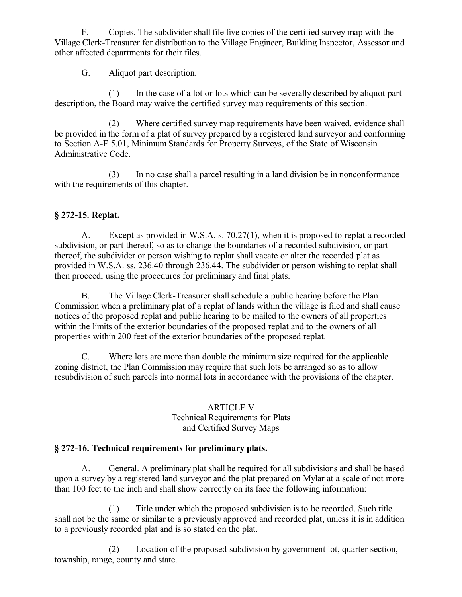F. Copies. The subdivider shall file five copies of the certified survey map with the Village Clerk-Treasurer for distribution to the Village Engineer, Building Inspector, Assessor and other affected departments for their files.

G. Aliquot part description.

(1) In the case of a lot or lots which can be severally described by aliquot part description, the Board may waive the certified survey map requirements of this section.

(2) Where certified survey map requirements have been waived, evidence shall be provided in the form of a plat of survey prepared by a registered land surveyor and conforming to Section A-E 5.01, Minimum Standards for Property Surveys, of the State of Wisconsin Administrative Code.

(3) In no case shall a parcel resulting in a land division be in nonconformance with the requirements of this chapter.

## **§ 272-15. Replat.**

A. Except as provided in W.S.A. s. 70.27(1), when it is proposed to replat a recorded subdivision, or part thereof, so as to change the boundaries of a recorded subdivision, or part thereof, the subdivider or person wishing to replat shall vacate or alter the recorded plat as provided in W.S.A. ss. 236.40 through 236.44. The subdivider or person wishing to replat shall then proceed, using the procedures for preliminary and final plats.

B. The Village Clerk-Treasurer shall schedule a public hearing before the Plan Commission when a preliminary plat of a replat of lands within the village is filed and shall cause notices of the proposed replat and public hearing to be mailed to the owners of all properties within the limits of the exterior boundaries of the proposed replat and to the owners of all properties within 200 feet of the exterior boundaries of the proposed replat.

C. Where lots are more than double the minimum size required for the applicable zoning district, the Plan Commission may require that such lots be arranged so as to allow resubdivision of such parcels into normal lots in accordance with the provisions of the chapter.

#### ARTICLE V Technical Requirements for Plats and Certified Survey Maps

## **§ 272-16. Technical requirements for preliminary plats.**

A. General. A preliminary plat shall be required for all subdivisions and shall be based upon a survey by a registered land surveyor and the plat prepared on Mylar at a scale of not more than 100 feet to the inch and shall show correctly on its face the following information:

(1) Title under which the proposed subdivision is to be recorded. Such title shall not be the same or similar to a previously approved and recorded plat, unless it is in addition to a previously recorded plat and is so stated on the plat.

(2) Location of the proposed subdivision by government lot, quarter section, township, range, county and state.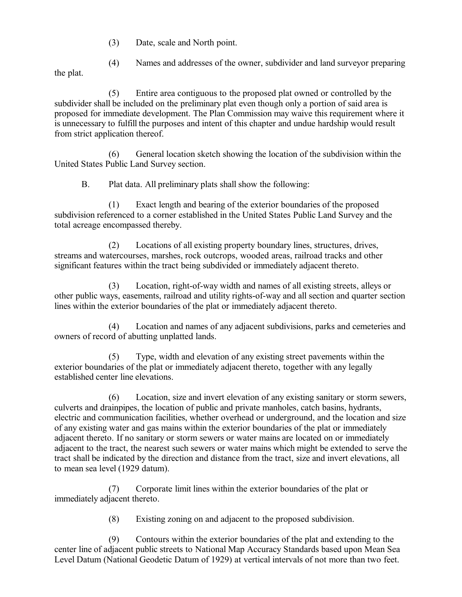(3) Date, scale and North point.

(4) Names and addresses of the owner, subdivider and land surveyor preparing

the plat.

(5) Entire area contiguous to the proposed plat owned or controlled by the subdivider shall be included on the preliminary plat even though only a portion of said area is proposed for immediate development. The Plan Commission may waive this requirement where it is unnecessary to fulfill the purposes and intent of this chapter and undue hardship would result from strict application thereof.

(6) General location sketch showing the location of the subdivision within the United States Public Land Survey section.

B. Plat data. All preliminary plats shall show the following:

(1) Exact length and bearing of the exterior boundaries of the proposed subdivision referenced to a corner established in the United States Public Land Survey and the total acreage encompassed thereby.

(2) Locations of all existing property boundary lines, structures, drives, streams and watercourses, marshes, rock outcrops, wooded areas, railroad tracks and other significant features within the tract being subdivided or immediately adjacent thereto.

(3) Location, right-of-way width and names of all existing streets, alleys or other public ways, easements, railroad and utility rights-of-way and all section and quarter section lines within the exterior boundaries of the plat or immediately adjacent thereto.

(4) Location and names of any adjacent subdivisions, parks and cemeteries and owners of record of abutting unplatted lands.

(5) Type, width and elevation of any existing street pavements within the exterior boundaries of the plat or immediately adjacent thereto, together with any legally established center line elevations.

(6) Location, size and invert elevation of any existing sanitary or storm sewers, culverts and drainpipes, the location of public and private manholes, catch basins, hydrants, electric and communication facilities, whether overhead or underground, and the location and size of any existing water and gas mains within the exterior boundaries of the plat or immediately adjacent thereto. If no sanitary or storm sewers or water mains are located on or immediately adjacent to the tract, the nearest such sewers or water mains which might be extended to serve the tract shall be indicated by the direction and distance from the tract, size and invert elevations, all to mean sea level (1929 datum).

(7) Corporate limit lines within the exterior boundaries of the plat or immediately adjacent thereto.

(8) Existing zoning on and adjacent to the proposed subdivision.

(9) Contours within the exterior boundaries of the plat and extending to the center line of adjacent public streets to National Map Accuracy Standards based upon Mean Sea Level Datum (National Geodetic Datum of 1929) at vertical intervals of not more than two feet.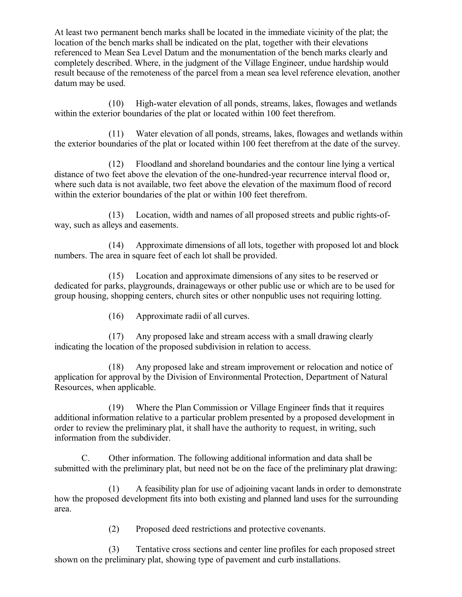At least two permanent bench marks shall be located in the immediate vicinity of the plat; the location of the bench marks shall be indicated on the plat, together with their elevations referenced to Mean Sea Level Datum and the monumentation of the bench marks clearly and completely described. Where, in the judgment of the Village Engineer, undue hardship would result because of the remoteness of the parcel from a mean sea level reference elevation, another datum may be used.

(10) High-water elevation of all ponds, streams, lakes, flowages and wetlands within the exterior boundaries of the plat or located within 100 feet therefrom.

(11) Water elevation of all ponds, streams, lakes, flowages and wetlands within the exterior boundaries of the plat or located within 100 feet therefrom at the date of the survey.

(12) Floodland and shoreland boundaries and the contour line lying a vertical distance of two feet above the elevation of the one-hundred-year recurrence interval flood or, where such data is not available, two feet above the elevation of the maximum flood of record within the exterior boundaries of the plat or within 100 feet therefrom.

(13) Location, width and names of all proposed streets and public rights-ofway, such as alleys and easements.

(14) Approximate dimensions of all lots, together with proposed lot and block numbers. The area in square feet of each lot shall be provided.

(15) Location and approximate dimensions of any sites to be reserved or dedicated for parks, playgrounds, drainageways or other public use or which are to be used for group housing, shopping centers, church sites or other nonpublic uses not requiring lotting.

(16) Approximate radii of all curves.

(17) Any proposed lake and stream access with a small drawing clearly indicating the location of the proposed subdivision in relation to access.

(18) Any proposed lake and stream improvement or relocation and notice of application for approval by the Division of Environmental Protection, Department of Natural Resources, when applicable.

(19) Where the Plan Commission or Village Engineer finds that it requires additional information relative to a particular problem presented by a proposed development in order to review the preliminary plat, it shall have the authority to request, in writing, such information from the subdivider.

C. Other information. The following additional information and data shall be submitted with the preliminary plat, but need not be on the face of the preliminary plat drawing:

(1) A feasibility plan for use of adjoining vacant lands in order to demonstrate how the proposed development fits into both existing and planned land uses for the surrounding area.

(2) Proposed deed restrictions and protective covenants.

(3) Tentative cross sections and center line profiles for each proposed street shown on the preliminary plat, showing type of pavement and curb installations.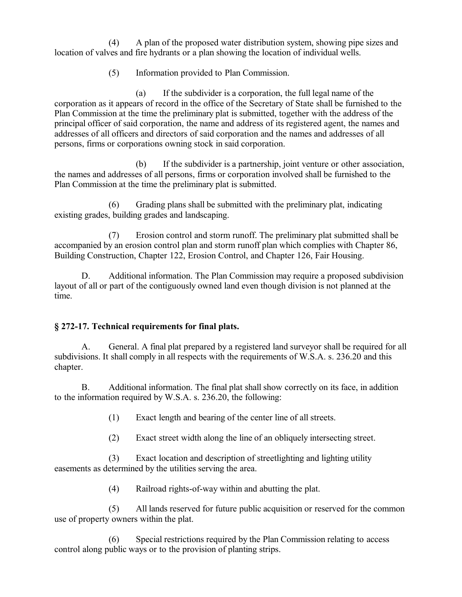(4) A plan of the proposed water distribution system, showing pipe sizes and location of valves and fire hydrants or a plan showing the location of individual wells.

(5) Information provided to Plan Commission.

(a) If the subdivider is a corporation, the full legal name of the corporation as it appears of record in the office of the Secretary of State shall be furnished to the Plan Commission at the time the preliminary plat is submitted, together with the address of the principal officer of said corporation, the name and address of its registered agent, the names and addresses of all officers and directors of said corporation and the names and addresses of all persons, firms or corporations owning stock in said corporation.

(b) If the subdivider is a partnership, joint venture or other association, the names and addresses of all persons, firms or corporation involved shall be furnished to the Plan Commission at the time the preliminary plat is submitted.

(6) Grading plans shall be submitted with the preliminary plat, indicating existing grades, building grades and landscaping.

(7) Erosion control and storm runoff. The preliminary plat submitted shall be accompanied by an erosion control plan and storm runoff plan which complies with Chapter 86, Building Construction, Chapter 122, Erosion Control, and Chapter 126, Fair Housing.

D. Additional information. The Plan Commission may require a proposed subdivision layout of all or part of the contiguously owned land even though division is not planned at the time.

## **§ 272-17. Technical requirements for final plats.**

A. General. A final plat prepared by a registered land surveyor shall be required for all subdivisions. It shall comply in all respects with the requirements of W.S.A. s. 236.20 and this chapter.

B. Additional information. The final plat shall show correctly on its face, in addition to the information required by W.S.A. s. 236.20, the following:

(1) Exact length and bearing of the center line of all streets.

(2) Exact street width along the line of an obliquely intersecting street.

(3) Exact location and description of streetlighting and lighting utility easements as determined by the utilities serving the area.

(4) Railroad rights-of-way within and abutting the plat.

(5) All lands reserved for future public acquisition or reserved for the common use of property owners within the plat.

(6) Special restrictions required by the Plan Commission relating to access control along public ways or to the provision of planting strips.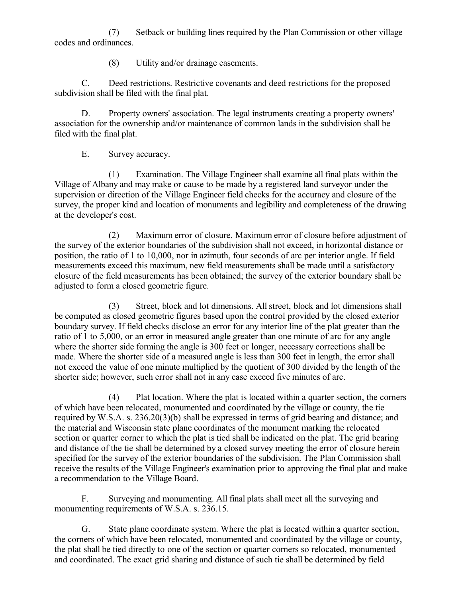(7) Setback or building lines required by the Plan Commission or other village codes and ordinances.

(8) Utility and/or drainage easements.

C. Deed restrictions. Restrictive covenants and deed restrictions for the proposed subdivision shall be filed with the final plat.

D. Property owners' association. The legal instruments creating a property owners' association for the ownership and/or maintenance of common lands in the subdivision shall be filed with the final plat.

E. Survey accuracy.

(1) Examination. The Village Engineer shall examine all final plats within the Village of Albany and may make or cause to be made by a registered land surveyor under the supervision or direction of the Village Engineer field checks for the accuracy and closure of the survey, the proper kind and location of monuments and legibility and completeness of the drawing at the developer's cost.

(2) Maximum error of closure. Maximum error of closure before adjustment of the survey of the exterior boundaries of the subdivision shall not exceed, in horizontal distance or position, the ratio of 1 to 10,000, nor in azimuth, four seconds of arc per interior angle. If field measurements exceed this maximum, new field measurements shall be made until a satisfactory closure of the field measurements has been obtained; the survey of the exterior boundary shall be adjusted to form a closed geometric figure.

(3) Street, block and lot dimensions. All street, block and lot dimensions shall be computed as closed geometric figures based upon the control provided by the closed exterior boundary survey. If field checks disclose an error for any interior line of the plat greater than the ratio of 1 to 5,000, or an error in measured angle greater than one minute of arc for any angle where the shorter side forming the angle is 300 feet or longer, necessary corrections shall be made. Where the shorter side of a measured angle is less than 300 feet in length, the error shall not exceed the value of one minute multiplied by the quotient of 300 divided by the length of the shorter side; however, such error shall not in any case exceed five minutes of arc.

(4) Plat location. Where the plat is located within a quarter section, the corners of which have been relocated, monumented and coordinated by the village or county, the tie required by W.S.A. s. 236.20(3)(b) shall be expressed in terms of grid bearing and distance; and the material and Wisconsin state plane coordinates of the monument marking the relocated section or quarter corner to which the plat is tied shall be indicated on the plat. The grid bearing and distance of the tie shall be determined by a closed survey meeting the error of closure herein specified for the survey of the exterior boundaries of the subdivision. The Plan Commission shall receive the results of the Village Engineer's examination prior to approving the final plat and make a recommendation to the Village Board.

F. Surveying and monumenting. All final plats shall meet all the surveying and monumenting requirements of W.S.A. s. 236.15.

G. State plane coordinate system. Where the plat is located within a quarter section, the corners of which have been relocated, monumented and coordinated by the village or county, the plat shall be tied directly to one of the section or quarter corners so relocated, monumented and coordinated. The exact grid sharing and distance of such tie shall be determined by field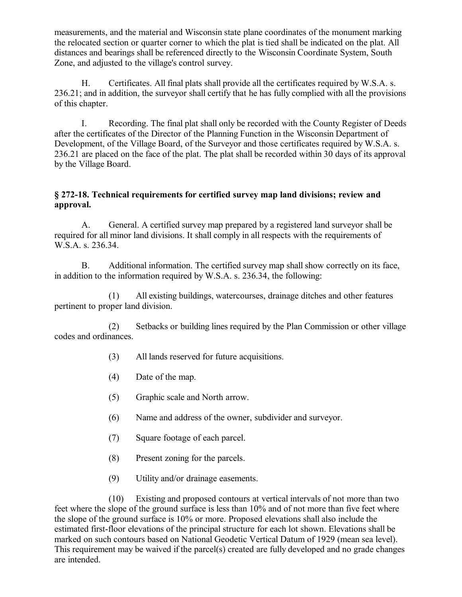measurements, and the material and Wisconsin state plane coordinates of the monument marking the relocated section or quarter corner to which the plat is tied shall be indicated on the plat. All distances and bearings shall be referenced directly to the Wisconsin Coordinate System, South Zone, and adjusted to the village's control survey.

H. Certificates. All final plats shall provide all the certificates required by W.S.A. s. 236.21; and in addition, the surveyor shall certify that he has fully complied with all the provisions of this chapter.

I. Recording. The final plat shall only be recorded with the County Register of Deeds after the certificates of the Director of the Planning Function in the Wisconsin Department of Development, of the Village Board, of the Surveyor and those certificates required by W.S.A. s. 236.21 are placed on the face of the plat. The plat shall be recorded within 30 days of its approval by the Village Board.

#### **§ 272-18. Technical requirements for certified survey map land divisions; review and approval.**

A. General. A certified survey map prepared by a registered land surveyor shall be required for all minor land divisions. It shall comply in all respects with the requirements of W.S.A. s. 236.34.

B. Additional information. The certified survey map shall show correctly on its face, in addition to the information required by W.S.A. s. 236.34, the following:

(1) All existing buildings, watercourses, drainage ditches and other features pertinent to proper land division.

(2) Setbacks or building lines required by the Plan Commission or other village codes and ordinances.

- (3) All lands reserved for future acquisitions.
- (4) Date of the map.
- (5) Graphic scale and North arrow.
- (6) Name and address of the owner, subdivider and surveyor.
- (7) Square footage of each parcel.
- (8) Present zoning for the parcels.
- (9) Utility and/or drainage easements.

(10) Existing and proposed contours at vertical intervals of not more than two feet where the slope of the ground surface is less than 10% and of not more than five feet where the slope of the ground surface is 10% or more. Proposed elevations shall also include the estimated first-floor elevations of the principal structure for each lot shown. Elevations shall be marked on such contours based on National Geodetic Vertical Datum of 1929 (mean sea level). This requirement may be waived if the parcel(s) created are fully developed and no grade changes are intended.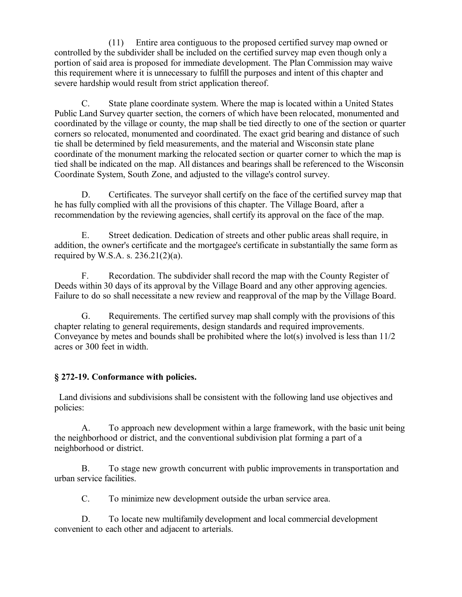(11) Entire area contiguous to the proposed certified survey map owned or controlled by the subdivider shall be included on the certified survey map even though only a portion of said area is proposed for immediate development. The Plan Commission may waive this requirement where it is unnecessary to fulfill the purposes and intent of this chapter and severe hardship would result from strict application thereof.

C. State plane coordinate system. Where the map is located within a United States Public Land Survey quarter section, the corners of which have been relocated, monumented and coordinated by the village or county, the map shall be tied directly to one of the section or quarter corners so relocated, monumented and coordinated. The exact grid bearing and distance of such tie shall be determined by field measurements, and the material and Wisconsin state plane coordinate of the monument marking the relocated section or quarter corner to which the map is tied shall be indicated on the map. All distances and bearings shall be referenced to the Wisconsin Coordinate System, South Zone, and adjusted to the village's control survey.

D. Certificates. The surveyor shall certify on the face of the certified survey map that he has fully complied with all the provisions of this chapter. The Village Board, after a recommendation by the reviewing agencies, shall certify its approval on the face of the map.

E. Street dedication. Dedication of streets and other public areas shall require, in addition, the owner's certificate and the mortgagee's certificate in substantially the same form as required by W.S.A. s.  $236.21(2)(a)$ .

F. Recordation. The subdivider shall record the map with the County Register of Deeds within 30 days of its approval by the Village Board and any other approving agencies. Failure to do so shall necessitate a new review and reapproval of the map by the Village Board.

G. Requirements. The certified survey map shall comply with the provisions of this chapter relating to general requirements, design standards and required improvements. Conveyance by metes and bounds shall be prohibited where the lot(s) involved is less than 11/2 acres or 300 feet in width.

## **§ 272-19. Conformance with policies.**

 Land divisions and subdivisions shall be consistent with the following land use objectives and policies:

A. To approach new development within a large framework, with the basic unit being the neighborhood or district, and the conventional subdivision plat forming a part of a neighborhood or district.

B. To stage new growth concurrent with public improvements in transportation and urban service facilities.

C. To minimize new development outside the urban service area.

D. To locate new multifamily development and local commercial development convenient to each other and adjacent to arterials.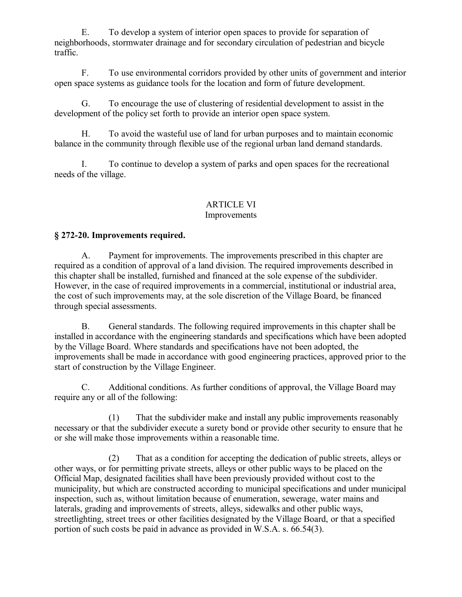E. To develop a system of interior open spaces to provide for separation of neighborhoods, stormwater drainage and for secondary circulation of pedestrian and bicycle traffic.

F. To use environmental corridors provided by other units of government and interior open space systems as guidance tools for the location and form of future development.

G. To encourage the use of clustering of residential development to assist in the development of the policy set forth to provide an interior open space system.

H. To avoid the wasteful use of land for urban purposes and to maintain economic balance in the community through flexible use of the regional urban land demand standards.

I. To continue to develop a system of parks and open spaces for the recreational needs of the village.

#### ARTICLE VI Improvements

## **§ 272-20. Improvements required.**

A. Payment for improvements. The improvements prescribed in this chapter are required as a condition of approval of a land division. The required improvements described in this chapter shall be installed, furnished and financed at the sole expense of the subdivider. However, in the case of required improvements in a commercial, institutional or industrial area, the cost of such improvements may, at the sole discretion of the Village Board, be financed through special assessments.

B. General standards. The following required improvements in this chapter shall be installed in accordance with the engineering standards and specifications which have been adopted by the Village Board. Where standards and specifications have not been adopted, the improvements shall be made in accordance with good engineering practices, approved prior to the start of construction by the Village Engineer.

C. Additional conditions. As further conditions of approval, the Village Board may require any or all of the following:

(1) That the subdivider make and install any public improvements reasonably necessary or that the subdivider execute a surety bond or provide other security to ensure that he or she will make those improvements within a reasonable time.

(2) That as a condition for accepting the dedication of public streets, alleys or other ways, or for permitting private streets, alleys or other public ways to be placed on the Official Map, designated facilities shall have been previously provided without cost to the municipality, but which are constructed according to municipal specifications and under municipal inspection, such as, without limitation because of enumeration, sewerage, water mains and laterals, grading and improvements of streets, alleys, sidewalks and other public ways, streetlighting, street trees or other facilities designated by the Village Board, or that a specified portion of such costs be paid in advance as provided in W.S.A. s. 66.54(3).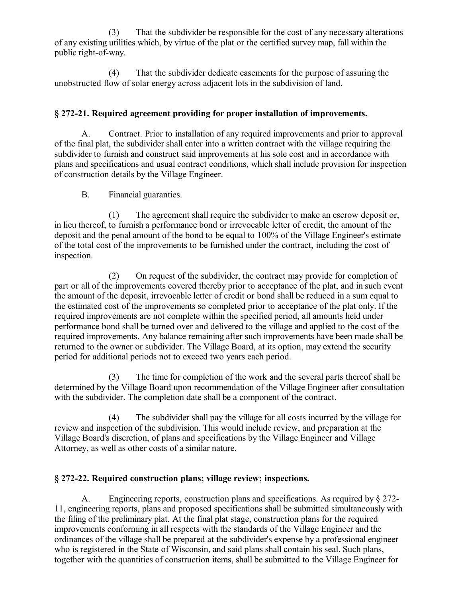(3) That the subdivider be responsible for the cost of any necessary alterations of any existing utilities which, by virtue of the plat or the certified survey map, fall within the public right-of-way.

(4) That the subdivider dedicate easements for the purpose of assuring the unobstructed flow of solar energy across adjacent lots in the subdivision of land.

## **§ 272-21. Required agreement providing for proper installation of improvements.**

A. Contract. Prior to installation of any required improvements and prior to approval of the final plat, the subdivider shall enter into a written contract with the village requiring the subdivider to furnish and construct said improvements at his sole cost and in accordance with plans and specifications and usual contract conditions, which shall include provision for inspection of construction details by the Village Engineer.

## B. Financial guaranties.

(1) The agreement shall require the subdivider to make an escrow deposit or, in lieu thereof, to furnish a performance bond or irrevocable letter of credit, the amount of the deposit and the penal amount of the bond to be equal to 100% of the Village Engineer's estimate of the total cost of the improvements to be furnished under the contract, including the cost of inspection.

(2) On request of the subdivider, the contract may provide for completion of part or all of the improvements covered thereby prior to acceptance of the plat, and in such event the amount of the deposit, irrevocable letter of credit or bond shall be reduced in a sum equal to the estimated cost of the improvements so completed prior to acceptance of the plat only. If the required improvements are not complete within the specified period, all amounts held under performance bond shall be turned over and delivered to the village and applied to the cost of the required improvements. Any balance remaining after such improvements have been made shall be returned to the owner or subdivider. The Village Board, at its option, may extend the security period for additional periods not to exceed two years each period.

(3) The time for completion of the work and the several parts thereof shall be determined by the Village Board upon recommendation of the Village Engineer after consultation with the subdivider. The completion date shall be a component of the contract.

(4) The subdivider shall pay the village for all costs incurred by the village for review and inspection of the subdivision. This would include review, and preparation at the Village Board's discretion, of plans and specifications by the Village Engineer and Village Attorney, as well as other costs of a similar nature.

## **§ 272-22. Required construction plans; village review; inspections.**

A. Engineering reports, construction plans and specifications. As required by § 272- 11, engineering reports, plans and proposed specifications shall be submitted simultaneously with the filing of the preliminary plat. At the final plat stage, construction plans for the required improvements conforming in all respects with the standards of the Village Engineer and the ordinances of the village shall be prepared at the subdivider's expense by a professional engineer who is registered in the State of Wisconsin, and said plans shall contain his seal. Such plans, together with the quantities of construction items, shall be submitted to the Village Engineer for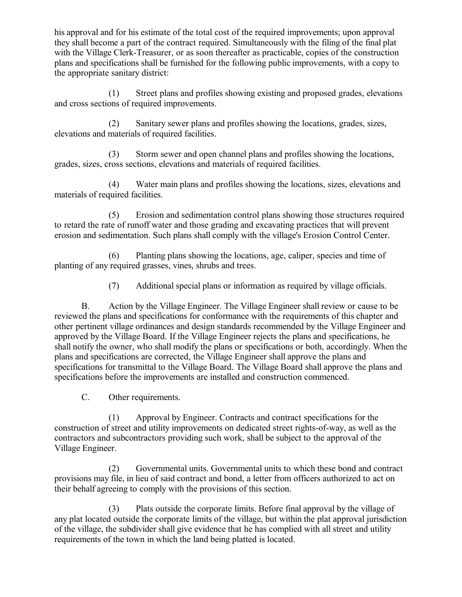his approval and for his estimate of the total cost of the required improvements; upon approval they shall become a part of the contract required. Simultaneously with the filing of the final plat with the Village Clerk-Treasurer, or as soon thereafter as practicable, copies of the construction plans and specifications shall be furnished for the following public improvements, with a copy to the appropriate sanitary district:

(1) Street plans and profiles showing existing and proposed grades, elevations and cross sections of required improvements.

(2) Sanitary sewer plans and profiles showing the locations, grades, sizes, elevations and materials of required facilities.

(3) Storm sewer and open channel plans and profiles showing the locations, grades, sizes, cross sections, elevations and materials of required facilities.

(4) Water main plans and profiles showing the locations, sizes, elevations and materials of required facilities.

(5) Erosion and sedimentation control plans showing those structures required to retard the rate of runoff water and those grading and excavating practices that will prevent erosion and sedimentation. Such plans shall comply with the village's Erosion Control Center.

(6) Planting plans showing the locations, age, caliper, species and time of planting of any required grasses, vines, shrubs and trees.

(7) Additional special plans or information as required by village officials.

B. Action by the Village Engineer. The Village Engineer shall review or cause to be reviewed the plans and specifications for conformance with the requirements of this chapter and other pertinent village ordinances and design standards recommended by the Village Engineer and approved by the Village Board. If the Village Engineer rejects the plans and specifications, he shall notify the owner, who shall modify the plans or specifications or both, accordingly. When the plans and specifications are corrected, the Village Engineer shall approve the plans and specifications for transmittal to the Village Board. The Village Board shall approve the plans and specifications before the improvements are installed and construction commenced.

C. Other requirements.

(1) Approval by Engineer. Contracts and contract specifications for the construction of street and utility improvements on dedicated street rights-of-way, as well as the contractors and subcontractors providing such work, shall be subject to the approval of the Village Engineer.

(2) Governmental units. Governmental units to which these bond and contract provisions may file, in lieu of said contract and bond, a letter from officers authorized to act on their behalf agreeing to comply with the provisions of this section.

(3) Plats outside the corporate limits. Before final approval by the village of any plat located outside the corporate limits of the village, but within the plat approval jurisdiction of the village, the subdivider shall give evidence that he has complied with all street and utility requirements of the town in which the land being platted is located.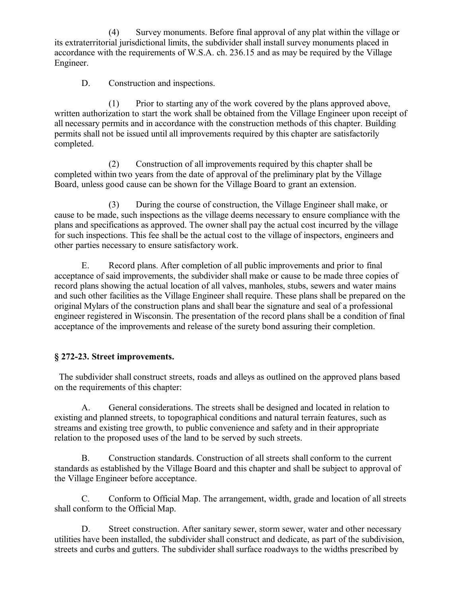(4) Survey monuments. Before final approval of any plat within the village or its extraterritorial jurisdictional limits, the subdivider shall install survey monuments placed in accordance with the requirements of W.S.A. ch. 236.15 and as may be required by the Village Engineer.

D. Construction and inspections.

(1) Prior to starting any of the work covered by the plans approved above, written authorization to start the work shall be obtained from the Village Engineer upon receipt of all necessary permits and in accordance with the construction methods of this chapter. Building permits shall not be issued until all improvements required by this chapter are satisfactorily completed.

(2) Construction of all improvements required by this chapter shall be completed within two years from the date of approval of the preliminary plat by the Village Board, unless good cause can be shown for the Village Board to grant an extension.

(3) During the course of construction, the Village Engineer shall make, or cause to be made, such inspections as the village deems necessary to ensure compliance with the plans and specifications as approved. The owner shall pay the actual cost incurred by the village for such inspections. This fee shall be the actual cost to the village of inspectors, engineers and other parties necessary to ensure satisfactory work.

E. Record plans. After completion of all public improvements and prior to final acceptance of said improvements, the subdivider shall make or cause to be made three copies of record plans showing the actual location of all valves, manholes, stubs, sewers and water mains and such other facilities as the Village Engineer shall require. These plans shall be prepared on the original Mylars of the construction plans and shall bear the signature and seal of a professional engineer registered in Wisconsin. The presentation of the record plans shall be a condition of final acceptance of the improvements and release of the surety bond assuring their completion.

## **§ 272-23. Street improvements.**

 The subdivider shall construct streets, roads and alleys as outlined on the approved plans based on the requirements of this chapter:

A. General considerations. The streets shall be designed and located in relation to existing and planned streets, to topographical conditions and natural terrain features, such as streams and existing tree growth, to public convenience and safety and in their appropriate relation to the proposed uses of the land to be served by such streets.

B. Construction standards. Construction of all streets shall conform to the current standards as established by the Village Board and this chapter and shall be subject to approval of the Village Engineer before acceptance.

C. Conform to Official Map. The arrangement, width, grade and location of all streets shall conform to the Official Map.

D. Street construction. After sanitary sewer, storm sewer, water and other necessary utilities have been installed, the subdivider shall construct and dedicate, as part of the subdivision, streets and curbs and gutters. The subdivider shall surface roadways to the widths prescribed by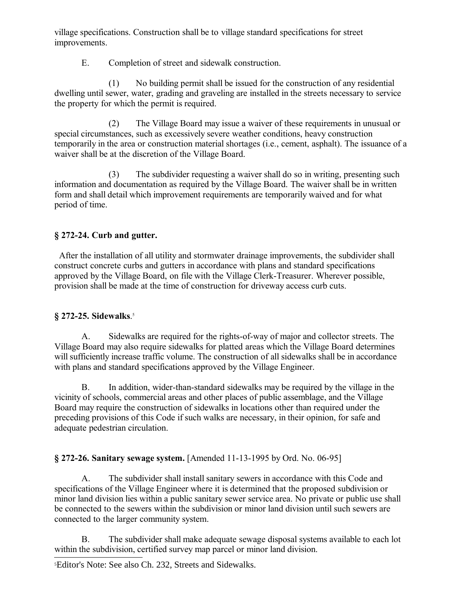village specifications. Construction shall be to village standard specifications for street improvements.

E. Completion of street and sidewalk construction.

(1) No building permit shall be issued for the construction of any residential dwelling until sewer, water, grading and graveling are installed in the streets necessary to service the property for which the permit is required.

(2) The Village Board may issue a waiver of these requirements in unusual or special circumstances, such as excessively severe weather conditions, heavy construction temporarily in the area or construction material shortages (i.e., cement, asphalt). The issuance of a waiver shall be at the discretion of the Village Board.

(3) The subdivider requesting a waiver shall do so in writing, presenting such information and documentation as required by the Village Board. The waiver shall be in written form and shall detail which improvement requirements are temporarily waived and for what period of time.

## **§ 272-24. Curb and gutter.**

 After the installation of all utility and stormwater drainage improvements, the subdivider shall construct concrete curbs and gutters in accordance with plans and standard specifications approved by the Village Board, on file with the Village Clerk-Treasurer. Wherever possible, provision shall be made at the time of construction for driveway access curb cuts.

## **§ 272-25. Sidewalks**. [5](#page-27-0)

A. Sidewalks are required for the rights-of-way of major and collector streets. The Village Board may also require sidewalks for platted areas which the Village Board determines will sufficiently increase traffic volume. The construction of all sidewalks shall be in accordance with plans and standard specifications approved by the Village Engineer.

B. In addition, wider-than-standard sidewalks may be required by the village in the vicinity of schools, commercial areas and other places of public assemblage, and the Village Board may require the construction of sidewalks in locations other than required under the preceding provisions of this Code if such walks are necessary, in their opinion, for safe and adequate pedestrian circulation.

## **§ 272-26. Sanitary sewage system.** [Amended 11-13-1995 by Ord. No. 06-95]

A. The subdivider shall install sanitary sewers in accordance with this Code and specifications of the Village Engineer where it is determined that the proposed subdivision or minor land division lies within a public sanitary sewer service area. No private or public use shall be connected to the sewers within the subdivision or minor land division until such sewers are connected to the larger community system.

B. The subdivider shall make adequate sewage disposal systems available to each lot within the subdivision, certified survey map parcel or minor land division.

<span id="page-27-0"></span>5Editor's Note: See also Ch. 232, Streets and Sidewalks.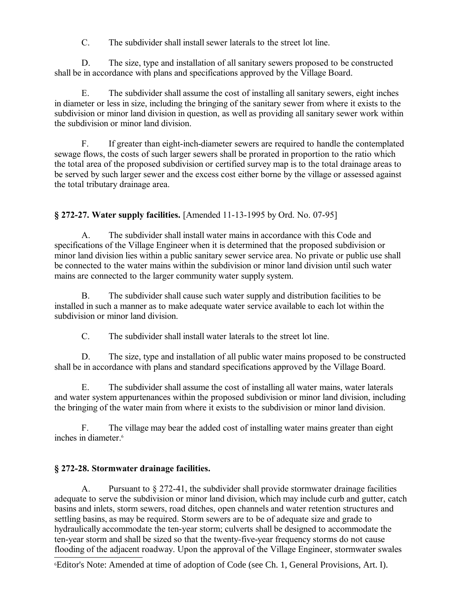C. The subdivider shall install sewer laterals to the street lot line.

D. The size, type and installation of all sanitary sewers proposed to be constructed shall be in accordance with plans and specifications approved by the Village Board.

E. The subdivider shall assume the cost of installing all sanitary sewers, eight inches in diameter or less in size, including the bringing of the sanitary sewer from where it exists to the subdivision or minor land division in question, as well as providing all sanitary sewer work within the subdivision or minor land division.

F. If greater than eight-inch-diameter sewers are required to handle the contemplated sewage flows, the costs of such larger sewers shall be prorated in proportion to the ratio which the total area of the proposed subdivision or certified survey map is to the total drainage areas to be served by such larger sewer and the excess cost either borne by the village or assessed against the total tributary drainage area.

## **§ 272-27. Water supply facilities.** [Amended 11-13-1995 by Ord. No. 07-95]

A. The subdivider shall install water mains in accordance with this Code and specifications of the Village Engineer when it is determined that the proposed subdivision or minor land division lies within a public sanitary sewer service area. No private or public use shall be connected to the water mains within the subdivision or minor land division until such water mains are connected to the larger community water supply system.

B. The subdivider shall cause such water supply and distribution facilities to be installed in such a manner as to make adequate water service available to each lot within the subdivision or minor land division.

C. The subdivider shall install water laterals to the street lot line.

D. The size, type and installation of all public water mains proposed to be constructed shall be in accordance with plans and standard specifications approved by the Village Board.

E. The subdivider shall assume the cost of installing all water mains, water laterals and water system appurtenances within the proposed subdivision or minor land division, including the bringing of the water main from where it exists to the subdivision or minor land division.

F. The village may bear the added cost of installing water mains greater than eight inches in diameter.[6](#page-28-0)

## **§ 272-28. Stormwater drainage facilities.**

A. Pursuant to § 272-41, the subdivider shall provide stormwater drainage facilities adequate to serve the subdivision or minor land division, which may include curb and gutter, catch basins and inlets, storm sewers, road ditches, open channels and water retention structures and settling basins, as may be required. Storm sewers are to be of adequate size and grade to hydraulically accommodate the ten-year storm; culverts shall be designed to accommodate the ten-year storm and shall be sized so that the twenty-five-year frequency storms do not cause flooding of the adjacent roadway. Upon the approval of the Village Engineer, stormwater swales

<span id="page-28-0"></span>6Editor's Note: Amended at time of adoption of Code (see Ch. 1, General Provisions, Art. I).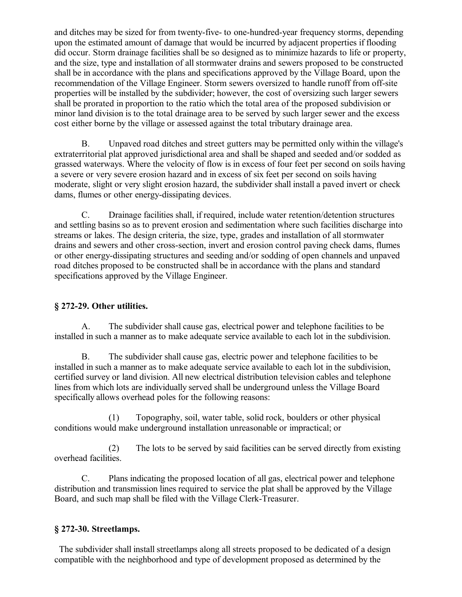and ditches may be sized for from twenty-five- to one-hundred-year frequency storms, depending upon the estimated amount of damage that would be incurred by adjacent properties if flooding did occur. Storm drainage facilities shall be so designed as to minimize hazards to life or property, and the size, type and installation of all stormwater drains and sewers proposed to be constructed shall be in accordance with the plans and specifications approved by the Village Board, upon the recommendation of the Village Engineer. Storm sewers oversized to handle runoff from off-site properties will be installed by the subdivider; however, the cost of oversizing such larger sewers shall be prorated in proportion to the ratio which the total area of the proposed subdivision or minor land division is to the total drainage area to be served by such larger sewer and the excess cost either borne by the village or assessed against the total tributary drainage area.

B. Unpaved road ditches and street gutters may be permitted only within the village's extraterritorial plat approved jurisdictional area and shall be shaped and seeded and/or sodded as grassed waterways. Where the velocity of flow is in excess of four feet per second on soils having a severe or very severe erosion hazard and in excess of six feet per second on soils having moderate, slight or very slight erosion hazard, the subdivider shall install a paved invert or check dams, flumes or other energy-dissipating devices.

C. Drainage facilities shall, if required, include water retention/detention structures and settling basins so as to prevent erosion and sedimentation where such facilities discharge into streams or lakes. The design criteria, the size, type, grades and installation of all stormwater drains and sewers and other cross-section, invert and erosion control paving check dams, flumes or other energy-dissipating structures and seeding and/or sodding of open channels and unpaved road ditches proposed to be constructed shall be in accordance with the plans and standard specifications approved by the Village Engineer.

## **§ 272-29. Other utilities.**

A. The subdivider shall cause gas, electrical power and telephone facilities to be installed in such a manner as to make adequate service available to each lot in the subdivision.

B. The subdivider shall cause gas, electric power and telephone facilities to be installed in such a manner as to make adequate service available to each lot in the subdivision, certified survey or land division. All new electrical distribution television cables and telephone lines from which lots are individually served shall be underground unless the Village Board specifically allows overhead poles for the following reasons:

(1) Topography, soil, water table, solid rock, boulders or other physical conditions would make underground installation unreasonable or impractical; or

(2) The lots to be served by said facilities can be served directly from existing overhead facilities.

C. Plans indicating the proposed location of all gas, electrical power and telephone distribution and transmission lines required to service the plat shall be approved by the Village Board, and such map shall be filed with the Village Clerk-Treasurer.

## **§ 272-30. Streetlamps.**

 The subdivider shall install streetlamps along all streets proposed to be dedicated of a design compatible with the neighborhood and type of development proposed as determined by the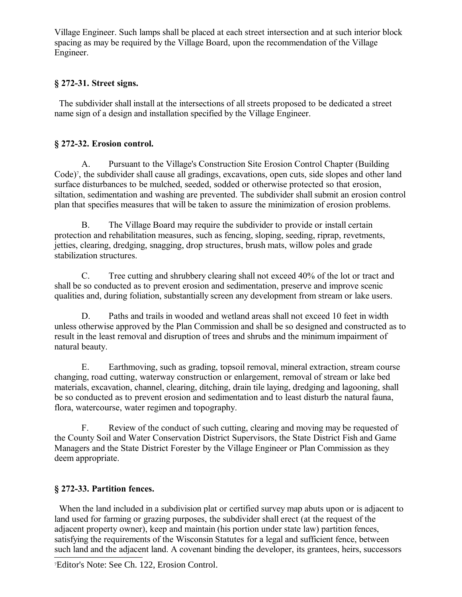Village Engineer. Such lamps shall be placed at each street intersection and at such interior block spacing as may be required by the Village Board, upon the recommendation of the Village Engineer.

## **§ 272-31. Street signs.**

 The subdivider shall install at the intersections of all streets proposed to be dedicated a street name sign of a design and installation specified by the Village Engineer.

## **§ 272-32. Erosion control.**

A. Pursuant to the Village's Construction Site Erosion Control Chapter (Building Code)[7](#page-30-0) , the subdivider shall cause all gradings, excavations, open cuts, side slopes and other land surface disturbances to be mulched, seeded, sodded or otherwise protected so that erosion, siltation, sedimentation and washing are prevented. The subdivider shall submit an erosion control plan that specifies measures that will be taken to assure the minimization of erosion problems.

B. The Village Board may require the subdivider to provide or install certain protection and rehabilitation measures, such as fencing, sloping, seeding, riprap, revetments, jetties, clearing, dredging, snagging, drop structures, brush mats, willow poles and grade stabilization structures.

C. Tree cutting and shrubbery clearing shall not exceed 40% of the lot or tract and shall be so conducted as to prevent erosion and sedimentation, preserve and improve scenic qualities and, during foliation, substantially screen any development from stream or lake users.

D. Paths and trails in wooded and wetland areas shall not exceed 10 feet in width unless otherwise approved by the Plan Commission and shall be so designed and constructed as to result in the least removal and disruption of trees and shrubs and the minimum impairment of natural beauty.

E. Earthmoving, such as grading, topsoil removal, mineral extraction, stream course changing, road cutting, waterway construction or enlargement, removal of stream or lake bed materials, excavation, channel, clearing, ditching, drain tile laying, dredging and lagooning, shall be so conducted as to prevent erosion and sedimentation and to least disturb the natural fauna, flora, watercourse, water regimen and topography.

F. Review of the conduct of such cutting, clearing and moving may be requested of the County Soil and Water Conservation District Supervisors, the State District Fish and Game Managers and the State District Forester by the Village Engineer or Plan Commission as they deem appropriate.

## **§ 272-33. Partition fences.**

 When the land included in a subdivision plat or certified survey map abuts upon or is adjacent to land used for farming or grazing purposes, the subdivider shall erect (at the request of the adjacent property owner), keep and maintain (his portion under state law) partition fences, satisfying the requirements of the Wisconsin Statutes for a legal and sufficient fence, between such land and the adjacent land. A covenant binding the developer, its grantees, heirs, successors

<span id="page-30-0"></span>7Editor's Note: See Ch. 122, Erosion Control.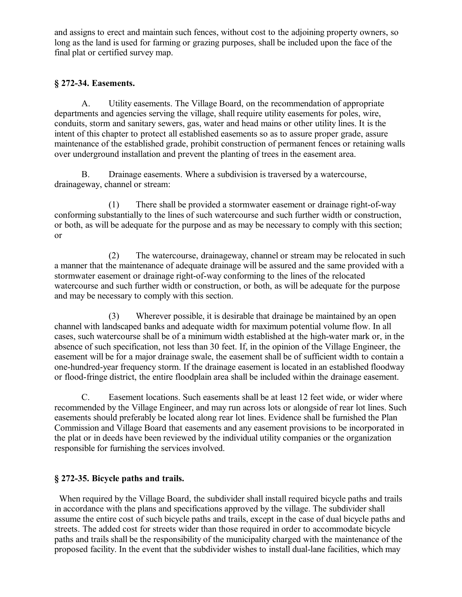and assigns to erect and maintain such fences, without cost to the adjoining property owners, so long as the land is used for farming or grazing purposes, shall be included upon the face of the final plat or certified survey map.

## **§ 272-34. Easements.**

A. Utility easements. The Village Board, on the recommendation of appropriate departments and agencies serving the village, shall require utility easements for poles, wire, conduits, storm and sanitary sewers, gas, water and head mains or other utility lines. It is the intent of this chapter to protect all established easements so as to assure proper grade, assure maintenance of the established grade, prohibit construction of permanent fences or retaining walls over underground installation and prevent the planting of trees in the easement area.

B. Drainage easements. Where a subdivision is traversed by a watercourse, drainageway, channel or stream:

(1) There shall be provided a stormwater easement or drainage right-of-way conforming substantially to the lines of such watercourse and such further width or construction, or both, as will be adequate for the purpose and as may be necessary to comply with this section; or

(2) The watercourse, drainageway, channel or stream may be relocated in such a manner that the maintenance of adequate drainage will be assured and the same provided with a stormwater easement or drainage right-of-way conforming to the lines of the relocated watercourse and such further width or construction, or both, as will be adequate for the purpose and may be necessary to comply with this section.

(3) Wherever possible, it is desirable that drainage be maintained by an open channel with landscaped banks and adequate width for maximum potential volume flow. In all cases, such watercourse shall be of a minimum width established at the high-water mark or, in the absence of such specification, not less than 30 feet. If, in the opinion of the Village Engineer, the easement will be for a major drainage swale, the easement shall be of sufficient width to contain a one-hundred-year frequency storm. If the drainage easement is located in an established floodway or flood-fringe district, the entire floodplain area shall be included within the drainage easement.

C. Easement locations. Such easements shall be at least 12 feet wide, or wider where recommended by the Village Engineer, and may run across lots or alongside of rear lot lines. Such easements should preferably be located along rear lot lines. Evidence shall be furnished the Plan Commission and Village Board that easements and any easement provisions to be incorporated in the plat or in deeds have been reviewed by the individual utility companies or the organization responsible for furnishing the services involved.

## **§ 272-35. Bicycle paths and trails.**

 When required by the Village Board, the subdivider shall install required bicycle paths and trails in accordance with the plans and specifications approved by the village. The subdivider shall assume the entire cost of such bicycle paths and trails, except in the case of dual bicycle paths and streets. The added cost for streets wider than those required in order to accommodate bicycle paths and trails shall be the responsibility of the municipality charged with the maintenance of the proposed facility. In the event that the subdivider wishes to install dual-lane facilities, which may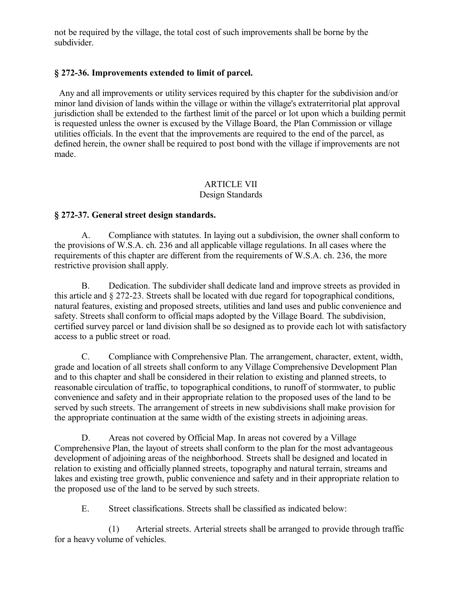not be required by the village, the total cost of such improvements shall be borne by the subdivider.

## **§ 272-36. Improvements extended to limit of parcel.**

 Any and all improvements or utility services required by this chapter for the subdivision and/or minor land division of lands within the village or within the village's extraterritorial plat approval jurisdiction shall be extended to the farthest limit of the parcel or lot upon which a building permit is requested unless the owner is excused by the Village Board, the Plan Commission or village utilities officials. In the event that the improvements are required to the end of the parcel, as defined herein, the owner shall be required to post bond with the village if improvements are not made.

#### ARTICLE VII Design Standards

## **§ 272-37. General street design standards.**

A. Compliance with statutes. In laying out a subdivision, the owner shall conform to the provisions of W.S.A. ch. 236 and all applicable village regulations. In all cases where the requirements of this chapter are different from the requirements of W.S.A. ch. 236, the more restrictive provision shall apply.

B. Dedication. The subdivider shall dedicate land and improve streets as provided in this article and § 272-23. Streets shall be located with due regard for topographical conditions, natural features, existing and proposed streets, utilities and land uses and public convenience and safety. Streets shall conform to official maps adopted by the Village Board. The subdivision, certified survey parcel or land division shall be so designed as to provide each lot with satisfactory access to a public street or road.

C. Compliance with Comprehensive Plan. The arrangement, character, extent, width, grade and location of all streets shall conform to any Village Comprehensive Development Plan and to this chapter and shall be considered in their relation to existing and planned streets, to reasonable circulation of traffic, to topographical conditions, to runoff of stormwater, to public convenience and safety and in their appropriate relation to the proposed uses of the land to be served by such streets. The arrangement of streets in new subdivisions shall make provision for the appropriate continuation at the same width of the existing streets in adjoining areas.

D. Areas not covered by Official Map. In areas not covered by a Village Comprehensive Plan, the layout of streets shall conform to the plan for the most advantageous development of adjoining areas of the neighborhood. Streets shall be designed and located in relation to existing and officially planned streets, topography and natural terrain, streams and lakes and existing tree growth, public convenience and safety and in their appropriate relation to the proposed use of the land to be served by such streets.

E. Street classifications. Streets shall be classified as indicated below:

(1) Arterial streets. Arterial streets shall be arranged to provide through traffic for a heavy volume of vehicles.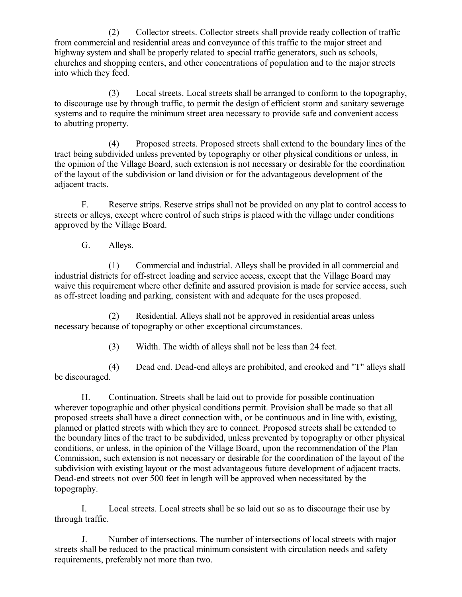(2) Collector streets. Collector streets shall provide ready collection of traffic from commercial and residential areas and conveyance of this traffic to the major street and highway system and shall be properly related to special traffic generators, such as schools, churches and shopping centers, and other concentrations of population and to the major streets into which they feed.

(3) Local streets. Local streets shall be arranged to conform to the topography, to discourage use by through traffic, to permit the design of efficient storm and sanitary sewerage systems and to require the minimum street area necessary to provide safe and convenient access to abutting property.

(4) Proposed streets. Proposed streets shall extend to the boundary lines of the tract being subdivided unless prevented by topography or other physical conditions or unless, in the opinion of the Village Board, such extension is not necessary or desirable for the coordination of the layout of the subdivision or land division or for the advantageous development of the adjacent tracts.

F. Reserve strips. Reserve strips shall not be provided on any plat to control access to streets or alleys, except where control of such strips is placed with the village under conditions approved by the Village Board.

G. Alleys.

(1) Commercial and industrial. Alleys shall be provided in all commercial and industrial districts for off-street loading and service access, except that the Village Board may waive this requirement where other definite and assured provision is made for service access, such as off-street loading and parking, consistent with and adequate for the uses proposed.

(2) Residential. Alleys shall not be approved in residential areas unless necessary because of topography or other exceptional circumstances.

(3) Width. The width of alleys shall not be less than 24 feet.

(4) Dead end. Dead-end alleys are prohibited, and crooked and "T" alleys shall be discouraged.

H. Continuation. Streets shall be laid out to provide for possible continuation wherever topographic and other physical conditions permit. Provision shall be made so that all proposed streets shall have a direct connection with, or be continuous and in line with, existing, planned or platted streets with which they are to connect. Proposed streets shall be extended to the boundary lines of the tract to be subdivided, unless prevented by topography or other physical conditions, or unless, in the opinion of the Village Board, upon the recommendation of the Plan Commission, such extension is not necessary or desirable for the coordination of the layout of the subdivision with existing layout or the most advantageous future development of adjacent tracts. Dead-end streets not over 500 feet in length will be approved when necessitated by the topography.

I. Local streets. Local streets shall be so laid out so as to discourage their use by through traffic.

J. Number of intersections. The number of intersections of local streets with major streets shall be reduced to the practical minimum consistent with circulation needs and safety requirements, preferably not more than two.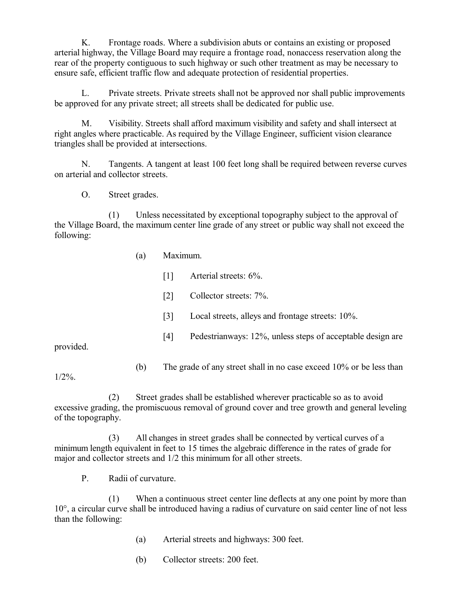K. Frontage roads. Where a subdivision abuts or contains an existing or proposed arterial highway, the Village Board may require a frontage road, nonaccess reservation along the rear of the property contiguous to such highway or such other treatment as may be necessary to ensure safe, efficient traffic flow and adequate protection of residential properties.

L. Private streets. Private streets shall not be approved nor shall public improvements be approved for any private street; all streets shall be dedicated for public use.

M. Visibility. Streets shall afford maximum visibility and safety and shall intersect at right angles where practicable. As required by the Village Engineer, sufficient vision clearance triangles shall be provided at intersections.

N. Tangents. A tangent at least 100 feet long shall be required between reverse curves on arterial and collector streets.

O. Street grades.

(1) Unless necessitated by exceptional topography subject to the approval of the Village Board, the maximum center line grade of any street or public way shall not exceed the following:

- (a) Maximum.
	- [1] Arterial streets:  $6\%$ .
	- [2] Collector streets: 7%.
	- [3] Local streets, alleys and frontage streets:  $10\%$ .
	- [4] Pedestrianways: 12%, unless steps of acceptable design are

provided.

(b) The grade of any street shall in no case exceed 10% or be less than

 $1/2\%$ .

(2) Street grades shall be established wherever practicable so as to avoid excessive grading, the promiscuous removal of ground cover and tree growth and general leveling of the topography.

(3) All changes in street grades shall be connected by vertical curves of a minimum length equivalent in feet to 15 times the algebraic difference in the rates of grade for major and collector streets and 1/2 this minimum for all other streets.

P. Radii of curvature.

(1) When a continuous street center line deflects at any one point by more than 10°, a circular curve shall be introduced having a radius of curvature on said center line of not less than the following:

- (a) Arterial streets and highways: 300 feet.
- (b) Collector streets: 200 feet.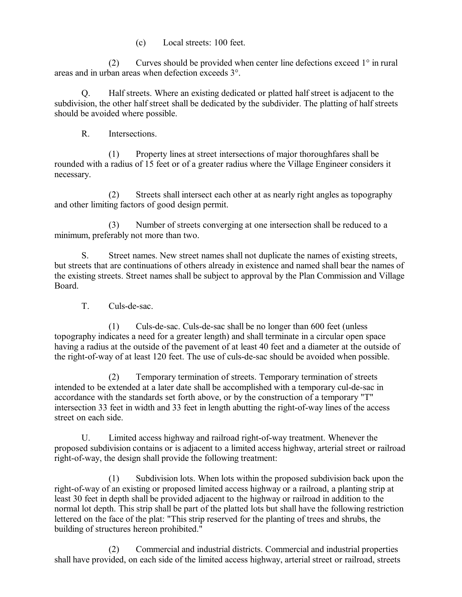(c) Local streets: 100 feet.

(2) Curves should be provided when center line defections exceed 1° in rural areas and in urban areas when defection exceeds 3°.

Q. Half streets. Where an existing dedicated or platted half street is adjacent to the subdivision, the other half street shall be dedicated by the subdivider. The platting of half streets should be avoided where possible.

R. Intersections.

(1) Property lines at street intersections of major thoroughfares shall be rounded with a radius of 15 feet or of a greater radius where the Village Engineer considers it necessary.

(2) Streets shall intersect each other at as nearly right angles as topography and other limiting factors of good design permit.

(3) Number of streets converging at one intersection shall be reduced to a minimum, preferably not more than two.

S. Street names. New street names shall not duplicate the names of existing streets, but streets that are continuations of others already in existence and named shall bear the names of the existing streets. Street names shall be subject to approval by the Plan Commission and Village Board.

T. Culs-de-sac.

(1) Culs-de-sac. Culs-de-sac shall be no longer than 600 feet (unless topography indicates a need for a greater length) and shall terminate in a circular open space having a radius at the outside of the pavement of at least 40 feet and a diameter at the outside of the right-of-way of at least 120 feet. The use of culs-de-sac should be avoided when possible.

(2) Temporary termination of streets. Temporary termination of streets intended to be extended at a later date shall be accomplished with a temporary cul-de-sac in accordance with the standards set forth above, or by the construction of a temporary "T" intersection 33 feet in width and 33 feet in length abutting the right-of-way lines of the access street on each side.

U. Limited access highway and railroad right-of-way treatment. Whenever the proposed subdivision contains or is adjacent to a limited access highway, arterial street or railroad right-of-way, the design shall provide the following treatment:

(1) Subdivision lots. When lots within the proposed subdivision back upon the right-of-way of an existing or proposed limited access highway or a railroad, a planting strip at least 30 feet in depth shall be provided adjacent to the highway or railroad in addition to the normal lot depth. This strip shall be part of the platted lots but shall have the following restriction lettered on the face of the plat: "This strip reserved for the planting of trees and shrubs, the building of structures hereon prohibited."

(2) Commercial and industrial districts. Commercial and industrial properties shall have provided, on each side of the limited access highway, arterial street or railroad, streets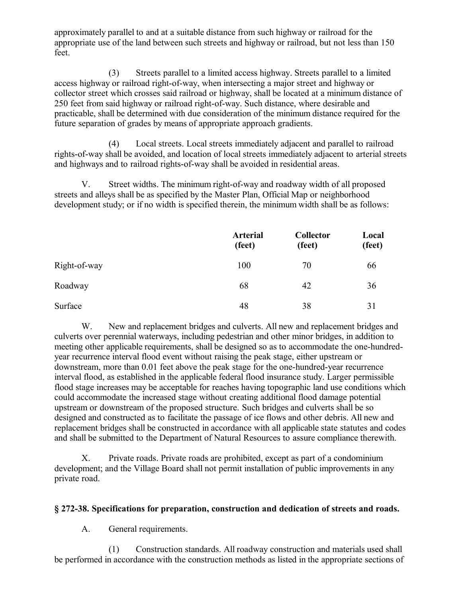approximately parallel to and at a suitable distance from such highway or railroad for the appropriate use of the land between such streets and highway or railroad, but not less than 150 feet.

(3) Streets parallel to a limited access highway. Streets parallel to a limited access highway or railroad right-of-way, when intersecting a major street and highway or collector street which crosses said railroad or highway, shall be located at a minimum distance of 250 feet from said highway or railroad right-of-way. Such distance, where desirable and practicable, shall be determined with due consideration of the minimum distance required for the future separation of grades by means of appropriate approach gradients.

(4) Local streets. Local streets immediately adjacent and parallel to railroad rights-of-way shall be avoided, and location of local streets immediately adjacent to arterial streets and highways and to railroad rights-of-way shall be avoided in residential areas.

V. Street widths. The minimum right-of-way and roadway width of all proposed streets and alleys shall be as specified by the Master Plan, Official Map or neighborhood development study; or if no width is specified therein, the minimum width shall be as follows:

|              | <b>Arterial</b><br>(feet) | <b>Collector</b><br>(feet) | Local<br>(feet) |
|--------------|---------------------------|----------------------------|-----------------|
| Right-of-way | 100                       | 70                         | 66              |
| Roadway      | 68                        | 42                         | 36              |
| Surface      | 48                        | 38                         | 31              |

W. New and replacement bridges and culverts. All new and replacement bridges and culverts over perennial waterways, including pedestrian and other minor bridges, in addition to meeting other applicable requirements, shall be designed so as to accommodate the one-hundredyear recurrence interval flood event without raising the peak stage, either upstream or downstream, more than 0.01 feet above the peak stage for the one-hundred-year recurrence interval flood, as established in the applicable federal flood insurance study. Larger permissible flood stage increases may be acceptable for reaches having topographic land use conditions which could accommodate the increased stage without creating additional flood damage potential upstream or downstream of the proposed structure. Such bridges and culverts shall be so designed and constructed as to facilitate the passage of ice flows and other debris. All new and replacement bridges shall be constructed in accordance with all applicable state statutes and codes and shall be submitted to the Department of Natural Resources to assure compliance therewith.

X. Private roads. Private roads are prohibited, except as part of a condominium development; and the Village Board shall not permit installation of public improvements in any private road.

## **§ 272-38. Specifications for preparation, construction and dedication of streets and roads.**

A. General requirements.

(1) Construction standards. All roadway construction and materials used shall be performed in accordance with the construction methods as listed in the appropriate sections of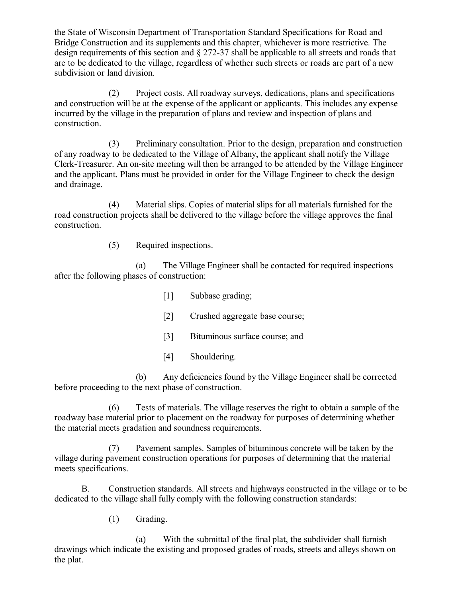the State of Wisconsin Department of Transportation Standard Specifications for Road and Bridge Construction and its supplements and this chapter, whichever is more restrictive. The design requirements of this section and § 272-37 shall be applicable to all streets and roads that are to be dedicated to the village, regardless of whether such streets or roads are part of a new subdivision or land division.

(2) Project costs. All roadway surveys, dedications, plans and specifications and construction will be at the expense of the applicant or applicants. This includes any expense incurred by the village in the preparation of plans and review and inspection of plans and construction.

(3) Preliminary consultation. Prior to the design, preparation and construction of any roadway to be dedicated to the Village of Albany, the applicant shall notify the Village Clerk-Treasurer. An on-site meeting will then be arranged to be attended by the Village Engineer and the applicant. Plans must be provided in order for the Village Engineer to check the design and drainage.

(4) Material slips. Copies of material slips for all materials furnished for the road construction projects shall be delivered to the village before the village approves the final construction.

(5) Required inspections.

(a) The Village Engineer shall be contacted for required inspections after the following phases of construction:

- [1] Subbase grading;
- [2] Crushed aggregate base course;
- [3] Bituminous surface course; and
- [4] Shouldering.

(b) Any deficiencies found by the Village Engineer shall be corrected before proceeding to the next phase of construction.

(6) Tests of materials. The village reserves the right to obtain a sample of the roadway base material prior to placement on the roadway for purposes of determining whether the material meets gradation and soundness requirements.

(7) Pavement samples. Samples of bituminous concrete will be taken by the village during pavement construction operations for purposes of determining that the material meets specifications.

B. Construction standards. All streets and highways constructed in the village or to be dedicated to the village shall fully comply with the following construction standards:

(1) Grading.

(a) With the submittal of the final plat, the subdivider shall furnish drawings which indicate the existing and proposed grades of roads, streets and alleys shown on the plat.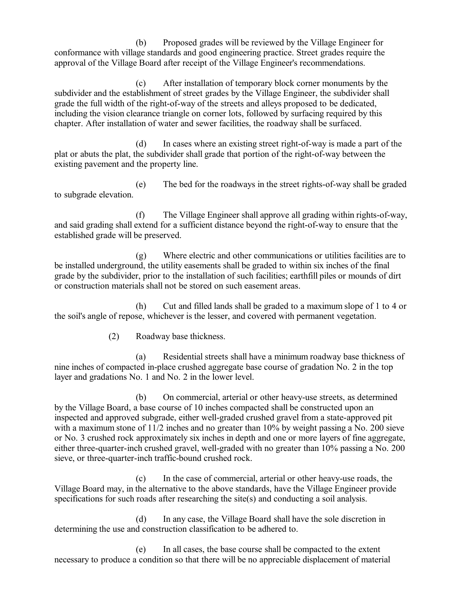(b) Proposed grades will be reviewed by the Village Engineer for conformance with village standards and good engineering practice. Street grades require the approval of the Village Board after receipt of the Village Engineer's recommendations.

(c) After installation of temporary block corner monuments by the subdivider and the establishment of street grades by the Village Engineer, the subdivider shall grade the full width of the right-of-way of the streets and alleys proposed to be dedicated, including the vision clearance triangle on corner lots, followed by surfacing required by this chapter. After installation of water and sewer facilities, the roadway shall be surfaced.

(d) In cases where an existing street right-of-way is made a part of the plat or abuts the plat, the subdivider shall grade that portion of the right-of-way between the existing pavement and the property line.

(e) The bed for the roadways in the street rights-of-way shall be graded to subgrade elevation.

(f) The Village Engineer shall approve all grading within rights-of-way, and said grading shall extend for a sufficient distance beyond the right-of-way to ensure that the established grade will be preserved.

(g) Where electric and other communications or utilities facilities are to be installed underground, the utility easements shall be graded to within six inches of the final grade by the subdivider, prior to the installation of such facilities; earthfill piles or mounds of dirt or construction materials shall not be stored on such easement areas.

(h) Cut and filled lands shall be graded to a maximum slope of 1 to 4 or the soil's angle of repose, whichever is the lesser, and covered with permanent vegetation.

(2) Roadway base thickness.

(a) Residential streets shall have a minimum roadway base thickness of nine inches of compacted in-place crushed aggregate base course of gradation No. 2 in the top layer and gradations No. 1 and No. 2 in the lower level.

(b) On commercial, arterial or other heavy-use streets, as determined by the Village Board, a base course of 10 inches compacted shall be constructed upon an inspected and approved subgrade, either well-graded crushed gravel from a state-approved pit with a maximum stone of  $11/2$  inches and no greater than  $10\%$  by weight passing a No. 200 sieve or No. 3 crushed rock approximately six inches in depth and one or more layers of fine aggregate, either three-quarter-inch crushed gravel, well-graded with no greater than 10% passing a No. 200 sieve, or three-quarter-inch traffic-bound crushed rock.

(c) In the case of commercial, arterial or other heavy-use roads, the Village Board may, in the alternative to the above standards, have the Village Engineer provide specifications for such roads after researching the site(s) and conducting a soil analysis.

(d) In any case, the Village Board shall have the sole discretion in determining the use and construction classification to be adhered to.

(e) In all cases, the base course shall be compacted to the extent necessary to produce a condition so that there will be no appreciable displacement of material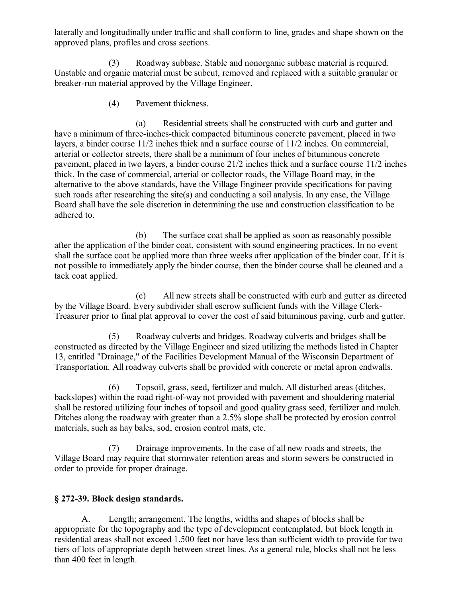laterally and longitudinally under traffic and shall conform to line, grades and shape shown on the approved plans, profiles and cross sections.

(3) Roadway subbase. Stable and nonorganic subbase material is required. Unstable and organic material must be subcut, removed and replaced with a suitable granular or breaker-run material approved by the Village Engineer.

(4) Pavement thickness.

(a) Residential streets shall be constructed with curb and gutter and have a minimum of three-inches-thick compacted bituminous concrete pavement, placed in two layers, a binder course 11/2 inches thick and a surface course of 11/2 inches. On commercial, arterial or collector streets, there shall be a minimum of four inches of bituminous concrete pavement, placed in two layers, a binder course 21/2 inches thick and a surface course 11/2 inches thick. In the case of commercial, arterial or collector roads, the Village Board may, in the alternative to the above standards, have the Village Engineer provide specifications for paving such roads after researching the site(s) and conducting a soil analysis. In any case, the Village Board shall have the sole discretion in determining the use and construction classification to be adhered to.

(b) The surface coat shall be applied as soon as reasonably possible after the application of the binder coat, consistent with sound engineering practices. In no event shall the surface coat be applied more than three weeks after application of the binder coat. If it is not possible to immediately apply the binder course, then the binder course shall be cleaned and a tack coat applied.

(c) All new streets shall be constructed with curb and gutter as directed by the Village Board. Every subdivider shall escrow sufficient funds with the Village Clerk-Treasurer prior to final plat approval to cover the cost of said bituminous paving, curb and gutter.

(5) Roadway culverts and bridges. Roadway culverts and bridges shall be constructed as directed by the Village Engineer and sized utilizing the methods listed in Chapter 13, entitled "Drainage," of the Facilities Development Manual of the Wisconsin Department of Transportation. All roadway culverts shall be provided with concrete or metal apron endwalls.

(6) Topsoil, grass, seed, fertilizer and mulch. All disturbed areas (ditches, backslopes) within the road right-of-way not provided with pavement and shouldering material shall be restored utilizing four inches of topsoil and good quality grass seed, fertilizer and mulch. Ditches along the roadway with greater than a 2.5% slope shall be protected by erosion control materials, such as hay bales, sod, erosion control mats, etc.

(7) Drainage improvements. In the case of all new roads and streets, the Village Board may require that stormwater retention areas and storm sewers be constructed in order to provide for proper drainage.

## **§ 272-39. Block design standards.**

A. Length; arrangement. The lengths, widths and shapes of blocks shall be appropriate for the topography and the type of development contemplated, but block length in residential areas shall not exceed 1,500 feet nor have less than sufficient width to provide for two tiers of lots of appropriate depth between street lines. As a general rule, blocks shall not be less than 400 feet in length.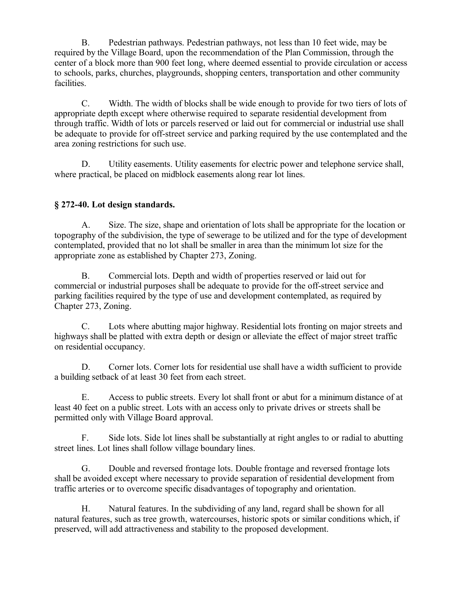B. Pedestrian pathways. Pedestrian pathways, not less than 10 feet wide, may be required by the Village Board, upon the recommendation of the Plan Commission, through the center of a block more than 900 feet long, where deemed essential to provide circulation or access to schools, parks, churches, playgrounds, shopping centers, transportation and other community facilities.

C. Width. The width of blocks shall be wide enough to provide for two tiers of lots of appropriate depth except where otherwise required to separate residential development from through traffic. Width of lots or parcels reserved or laid out for commercial or industrial use shall be adequate to provide for off-street service and parking required by the use contemplated and the area zoning restrictions for such use.

D. Utility easements. Utility easements for electric power and telephone service shall, where practical, be placed on midblock easements along rear lot lines.

## **§ 272-40. Lot design standards.**

A. Size. The size, shape and orientation of lots shall be appropriate for the location or topography of the subdivision, the type of sewerage to be utilized and for the type of development contemplated, provided that no lot shall be smaller in area than the minimum lot size for the appropriate zone as established by Chapter 273, Zoning.

B. Commercial lots. Depth and width of properties reserved or laid out for commercial or industrial purposes shall be adequate to provide for the off-street service and parking facilities required by the type of use and development contemplated, as required by Chapter 273, Zoning.

C. Lots where abutting major highway. Residential lots fronting on major streets and highways shall be platted with extra depth or design or alleviate the effect of major street traffic on residential occupancy.

D. Corner lots. Corner lots for residential use shall have a width sufficient to provide a building setback of at least 30 feet from each street.

E. Access to public streets. Every lot shall front or abut for a minimum distance of at least 40 feet on a public street. Lots with an access only to private drives or streets shall be permitted only with Village Board approval.

F. Side lots. Side lot lines shall be substantially at right angles to or radial to abutting street lines. Lot lines shall follow village boundary lines.

G. Double and reversed frontage lots. Double frontage and reversed frontage lots shall be avoided except where necessary to provide separation of residential development from traffic arteries or to overcome specific disadvantages of topography and orientation.

H. Natural features. In the subdividing of any land, regard shall be shown for all natural features, such as tree growth, watercourses, historic spots or similar conditions which, if preserved, will add attractiveness and stability to the proposed development.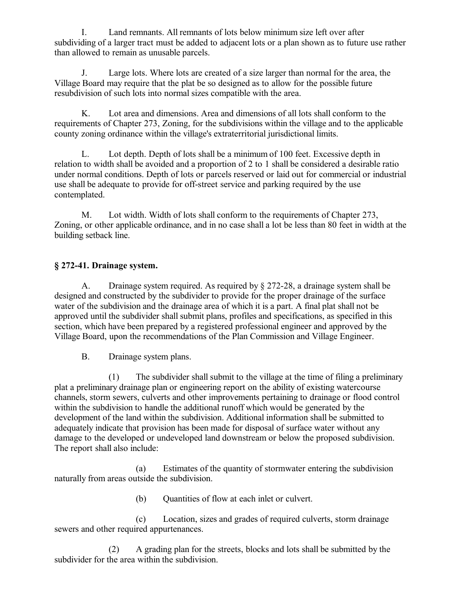I. Land remnants. All remnants of lots below minimum size left over after subdividing of a larger tract must be added to adjacent lots or a plan shown as to future use rather than allowed to remain as unusable parcels.

J. Large lots. Where lots are created of a size larger than normal for the area, the Village Board may require that the plat be so designed as to allow for the possible future resubdivision of such lots into normal sizes compatible with the area.

K. Lot area and dimensions. Area and dimensions of all lots shall conform to the requirements of Chapter 273, Zoning, for the subdivisions within the village and to the applicable county zoning ordinance within the village's extraterritorial jurisdictional limits.

L. Lot depth. Depth of lots shall be a minimum of 100 feet. Excessive depth in relation to width shall be avoided and a proportion of 2 to 1 shall be considered a desirable ratio under normal conditions. Depth of lots or parcels reserved or laid out for commercial or industrial use shall be adequate to provide for off-street service and parking required by the use contemplated.

M. Lot width. Width of lots shall conform to the requirements of Chapter 273, Zoning, or other applicable ordinance, and in no case shall a lot be less than 80 feet in width at the building setback line.

## **§ 272-41. Drainage system.**

A. Drainage system required. As required by § 272-28, a drainage system shall be designed and constructed by the subdivider to provide for the proper drainage of the surface water of the subdivision and the drainage area of which it is a part. A final plat shall not be approved until the subdivider shall submit plans, profiles and specifications, as specified in this section, which have been prepared by a registered professional engineer and approved by the Village Board, upon the recommendations of the Plan Commission and Village Engineer.

B. Drainage system plans.

(1) The subdivider shall submit to the village at the time of filing a preliminary plat a preliminary drainage plan or engineering report on the ability of existing watercourse channels, storm sewers, culverts and other improvements pertaining to drainage or flood control within the subdivision to handle the additional runoff which would be generated by the development of the land within the subdivision. Additional information shall be submitted to adequately indicate that provision has been made for disposal of surface water without any damage to the developed or undeveloped land downstream or below the proposed subdivision. The report shall also include:

(a) Estimates of the quantity of stormwater entering the subdivision naturally from areas outside the subdivision.

(b) Ouantities of flow at each inlet or culvert.

(c) Location, sizes and grades of required culverts, storm drainage sewers and other required appurtenances.

(2) A grading plan for the streets, blocks and lots shall be submitted by the subdivider for the area within the subdivision.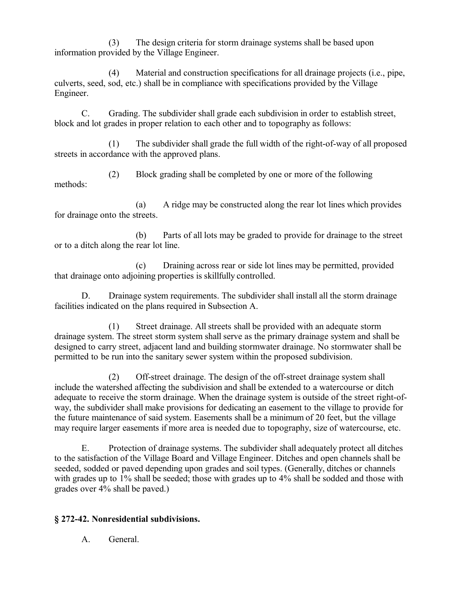(3) The design criteria for storm drainage systems shall be based upon information provided by the Village Engineer.

(4) Material and construction specifications for all drainage projects (i.e., pipe, culverts, seed, sod, etc.) shall be in compliance with specifications provided by the Village Engineer.

C. Grading. The subdivider shall grade each subdivision in order to establish street, block and lot grades in proper relation to each other and to topography as follows:

(1) The subdivider shall grade the full width of the right-of-way of all proposed streets in accordance with the approved plans.

(2) Block grading shall be completed by one or more of the following methods:

(a) A ridge may be constructed along the rear lot lines which provides for drainage onto the streets.

(b) Parts of all lots may be graded to provide for drainage to the street or to a ditch along the rear lot line.

(c) Draining across rear or side lot lines may be permitted, provided that drainage onto adjoining properties is skillfully controlled.

D. Drainage system requirements. The subdivider shall install all the storm drainage facilities indicated on the plans required in Subsection A.

(1) Street drainage. All streets shall be provided with an adequate storm drainage system. The street storm system shall serve as the primary drainage system and shall be designed to carry street, adjacent land and building stormwater drainage. No stormwater shall be permitted to be run into the sanitary sewer system within the proposed subdivision.

(2) Off-street drainage. The design of the off-street drainage system shall include the watershed affecting the subdivision and shall be extended to a watercourse or ditch adequate to receive the storm drainage. When the drainage system is outside of the street right-ofway, the subdivider shall make provisions for dedicating an easement to the village to provide for the future maintenance of said system. Easements shall be a minimum of 20 feet, but the village may require larger easements if more area is needed due to topography, size of watercourse, etc.

E. Protection of drainage systems. The subdivider shall adequately protect all ditches to the satisfaction of the Village Board and Village Engineer. Ditches and open channels shall be seeded, sodded or paved depending upon grades and soil types. (Generally, ditches or channels with grades up to 1% shall be seeded; those with grades up to 4% shall be sodded and those with grades over 4% shall be paved.)

## **§ 272-42. Nonresidential subdivisions.**

A. General.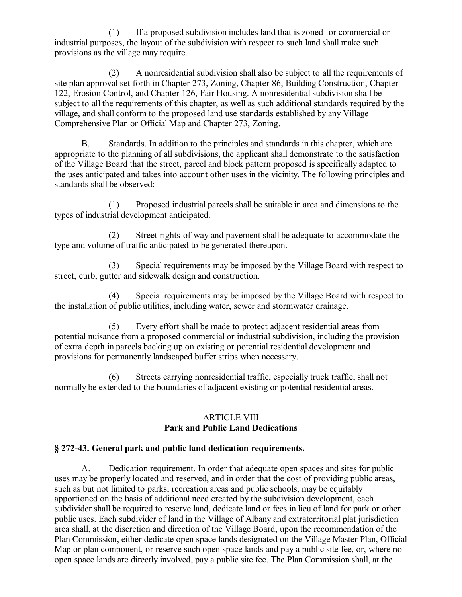(1) If a proposed subdivision includes land that is zoned for commercial or industrial purposes, the layout of the subdivision with respect to such land shall make such provisions as the village may require.

(2) A nonresidential subdivision shall also be subject to all the requirements of site plan approval set forth in Chapter 273, Zoning, Chapter 86, Building Construction, Chapter 122, Erosion Control, and Chapter 126, Fair Housing. A nonresidential subdivision shall be subject to all the requirements of this chapter, as well as such additional standards required by the village, and shall conform to the proposed land use standards established by any Village Comprehensive Plan or Official Map and Chapter 273, Zoning.

B. Standards. In addition to the principles and standards in this chapter, which are appropriate to the planning of all subdivisions, the applicant shall demonstrate to the satisfaction of the Village Board that the street, parcel and block pattern proposed is specifically adapted to the uses anticipated and takes into account other uses in the vicinity. The following principles and standards shall be observed:

(1) Proposed industrial parcels shall be suitable in area and dimensions to the types of industrial development anticipated.

(2) Street rights-of-way and pavement shall be adequate to accommodate the type and volume of traffic anticipated to be generated thereupon.

(3) Special requirements may be imposed by the Village Board with respect to street, curb, gutter and sidewalk design and construction.

(4) Special requirements may be imposed by the Village Board with respect to the installation of public utilities, including water, sewer and stormwater drainage.

(5) Every effort shall be made to protect adjacent residential areas from potential nuisance from a proposed commercial or industrial subdivision, including the provision of extra depth in parcels backing up on existing or potential residential development and provisions for permanently landscaped buffer strips when necessary.

(6) Streets carrying nonresidential traffic, especially truck traffic, shall not normally be extended to the boundaries of adjacent existing or potential residential areas.

#### ARTICLE VIII **Park and Public Land Dedications**

## **§ 272-43. General park and public land dedication requirements.**

A. Dedication requirement. In order that adequate open spaces and sites for public uses may be properly located and reserved, and in order that the cost of providing public areas, such as but not limited to parks, recreation areas and public schools, may be equitably apportioned on the basis of additional need created by the subdivision development, each subdivider shall be required to reserve land, dedicate land or fees in lieu of land for park or other public uses. Each subdivider of land in the Village of Albany and extraterritorial plat jurisdiction area shall, at the discretion and direction of the Village Board, upon the recommendation of the Plan Commission, either dedicate open space lands designated on the Village Master Plan, Official Map or plan component, or reserve such open space lands and pay a public site fee, or, where no open space lands are directly involved, pay a public site fee. The Plan Commission shall, at the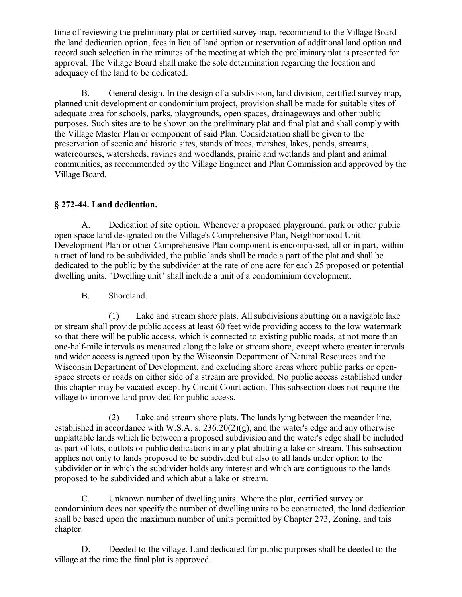time of reviewing the preliminary plat or certified survey map, recommend to the Village Board the land dedication option, fees in lieu of land option or reservation of additional land option and record such selection in the minutes of the meeting at which the preliminary plat is presented for approval. The Village Board shall make the sole determination regarding the location and adequacy of the land to be dedicated.

B. General design. In the design of a subdivision, land division, certified survey map, planned unit development or condominium project, provision shall be made for suitable sites of adequate area for schools, parks, playgrounds, open spaces, drainageways and other public purposes. Such sites are to be shown on the preliminary plat and final plat and shall comply with the Village Master Plan or component of said Plan. Consideration shall be given to the preservation of scenic and historic sites, stands of trees, marshes, lakes, ponds, streams, watercourses, watersheds, ravines and woodlands, prairie and wetlands and plant and animal communities, as recommended by the Village Engineer and Plan Commission and approved by the Village Board.

## **§ 272-44. Land dedication.**

A. Dedication of site option. Whenever a proposed playground, park or other public open space land designated on the Village's Comprehensive Plan, Neighborhood Unit Development Plan or other Comprehensive Plan component is encompassed, all or in part, within a tract of land to be subdivided, the public lands shall be made a part of the plat and shall be dedicated to the public by the subdivider at the rate of one acre for each 25 proposed or potential dwelling units. "Dwelling unit" shall include a unit of a condominium development.

B. Shoreland.

(1) Lake and stream shore plats. All subdivisions abutting on a navigable lake or stream shall provide public access at least 60 feet wide providing access to the low watermark so that there will be public access, which is connected to existing public roads, at not more than one-half-mile intervals as measured along the lake or stream shore, except where greater intervals and wider access is agreed upon by the Wisconsin Department of Natural Resources and the Wisconsin Department of Development, and excluding shore areas where public parks or openspace streets or roads on either side of a stream are provided. No public access established under this chapter may be vacated except by Circuit Court action. This subsection does not require the village to improve land provided for public access.

(2) Lake and stream shore plats. The lands lying between the meander line, established in accordance with W.S.A. s. 236.20(2)(g), and the water's edge and any otherwise unplattable lands which lie between a proposed subdivision and the water's edge shall be included as part of lots, outlots or public dedications in any plat abutting a lake or stream. This subsection applies not only to lands proposed to be subdivided but also to all lands under option to the subdivider or in which the subdivider holds any interest and which are contiguous to the lands proposed to be subdivided and which abut a lake or stream.

C. Unknown number of dwelling units. Where the plat, certified survey or condominium does not specify the number of dwelling units to be constructed, the land dedication shall be based upon the maximum number of units permitted by Chapter 273, Zoning, and this chapter.

D. Deeded to the village. Land dedicated for public purposes shall be deeded to the village at the time the final plat is approved.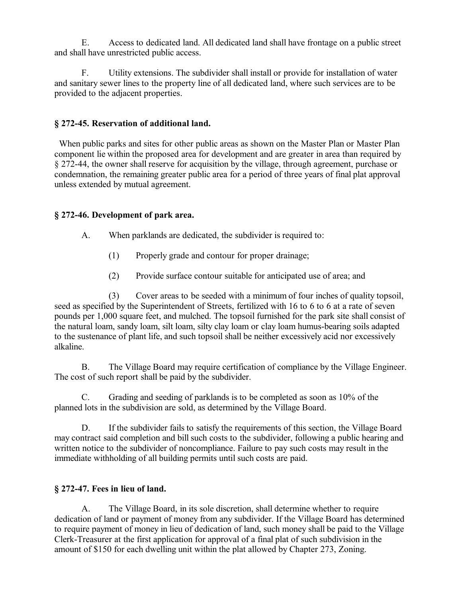E. Access to dedicated land. All dedicated land shall have frontage on a public street and shall have unrestricted public access.

F. Utility extensions. The subdivider shall install or provide for installation of water and sanitary sewer lines to the property line of all dedicated land, where such services are to be provided to the adjacent properties.

## **§ 272-45. Reservation of additional land.**

 When public parks and sites for other public areas as shown on the Master Plan or Master Plan component lie within the proposed area for development and are greater in area than required by § 272-44, the owner shall reserve for acquisition by the village, through agreement, purchase or condemnation, the remaining greater public area for a period of three years of final plat approval unless extended by mutual agreement.

## **§ 272-46. Development of park area.**

A. When parklands are dedicated, the subdivider is required to:

- (1) Properly grade and contour for proper drainage;
- (2) Provide surface contour suitable for anticipated use of area; and

(3) Cover areas to be seeded with a minimum of four inches of quality topsoil, seed as specified by the Superintendent of Streets, fertilized with 16 to 6 to 6 at a rate of seven pounds per 1,000 square feet, and mulched. The topsoil furnished for the park site shall consist of the natural loam, sandy loam, silt loam, silty clay loam or clay loam humus-bearing soils adapted to the sustenance of plant life, and such topsoil shall be neither excessively acid nor excessively alkaline.

B. The Village Board may require certification of compliance by the Village Engineer. The cost of such report shall be paid by the subdivider.

C. Grading and seeding of parklands is to be completed as soon as 10% of the planned lots in the subdivision are sold, as determined by the Village Board.

D. If the subdivider fails to satisfy the requirements of this section, the Village Board may contract said completion and bill such costs to the subdivider, following a public hearing and written notice to the subdivider of noncompliance. Failure to pay such costs may result in the immediate withholding of all building permits until such costs are paid.

## **§ 272-47. Fees in lieu of land.**

A. The Village Board, in its sole discretion, shall determine whether to require dedication of land or payment of money from any subdivider. If the Village Board has determined to require payment of money in lieu of dedication of land, such money shall be paid to the Village Clerk-Treasurer at the first application for approval of a final plat of such subdivision in the amount of \$150 for each dwelling unit within the plat allowed by Chapter 273, Zoning.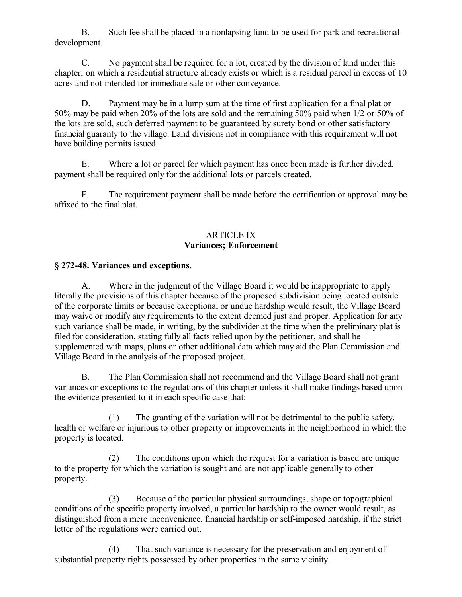B. Such fee shall be placed in a nonlapsing fund to be used for park and recreational development.

C. No payment shall be required for a lot, created by the division of land under this chapter, on which a residential structure already exists or which is a residual parcel in excess of 10 acres and not intended for immediate sale or other conveyance.

D. Payment may be in a lump sum at the time of first application for a final plat or 50% may be paid when 20% of the lots are sold and the remaining 50% paid when 1/2 or 50% of the lots are sold, such deferred payment to be guaranteed by surety bond or other satisfactory financial guaranty to the village. Land divisions not in compliance with this requirement will not have building permits issued.

E. Where a lot or parcel for which payment has once been made is further divided, payment shall be required only for the additional lots or parcels created.

F. The requirement payment shall be made before the certification or approval may be affixed to the final plat.

#### ARTICLE IX **Variances; Enforcement**

## **§ 272-48. Variances and exceptions.**

A. Where in the judgment of the Village Board it would be inappropriate to apply literally the provisions of this chapter because of the proposed subdivision being located outside of the corporate limits or because exceptional or undue hardship would result, the Village Board may waive or modify any requirements to the extent deemed just and proper. Application for any such variance shall be made, in writing, by the subdivider at the time when the preliminary plat is filed for consideration, stating fully all facts relied upon by the petitioner, and shall be supplemented with maps, plans or other additional data which may aid the Plan Commission and Village Board in the analysis of the proposed project.

B. The Plan Commission shall not recommend and the Village Board shall not grant variances or exceptions to the regulations of this chapter unless it shall make findings based upon the evidence presented to it in each specific case that:

(1) The granting of the variation will not be detrimental to the public safety, health or welfare or injurious to other property or improvements in the neighborhood in which the property is located.

(2) The conditions upon which the request for a variation is based are unique to the property for which the variation is sought and are not applicable generally to other property.

(3) Because of the particular physical surroundings, shape or topographical conditions of the specific property involved, a particular hardship to the owner would result, as distinguished from a mere inconvenience, financial hardship or self-imposed hardship, if the strict letter of the regulations were carried out.

(4) That such variance is necessary for the preservation and enjoyment of substantial property rights possessed by other properties in the same vicinity.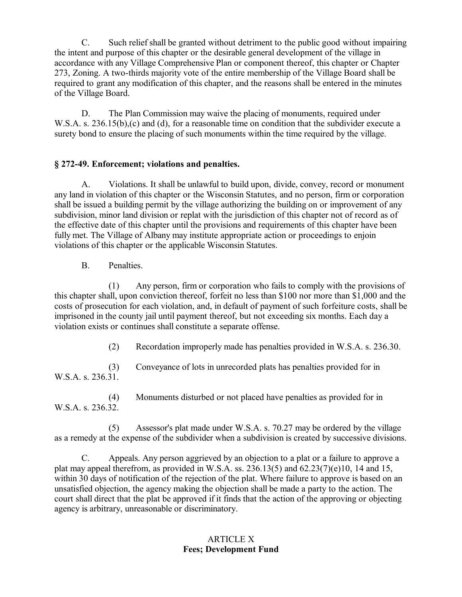C. Such relief shall be granted without detriment to the public good without impairing the intent and purpose of this chapter or the desirable general development of the village in accordance with any Village Comprehensive Plan or component thereof, this chapter or Chapter 273, Zoning. A two-thirds majority vote of the entire membership of the Village Board shall be required to grant any modification of this chapter, and the reasons shall be entered in the minutes of the Village Board.

D. The Plan Commission may waive the placing of monuments, required under W.S.A. s. 236.15(b),(c) and (d), for a reasonable time on condition that the subdivider execute a surety bond to ensure the placing of such monuments within the time required by the village.

## **§ 272-49. Enforcement; violations and penalties.**

A. Violations. It shall be unlawful to build upon, divide, convey, record or monument any land in violation of this chapter or the Wisconsin Statutes, and no person, firm or corporation shall be issued a building permit by the village authorizing the building on or improvement of any subdivision, minor land division or replat with the jurisdiction of this chapter not of record as of the effective date of this chapter until the provisions and requirements of this chapter have been fully met. The Village of Albany may institute appropriate action or proceedings to enjoin violations of this chapter or the applicable Wisconsin Statutes.

B. Penalties.

(1) Any person, firm or corporation who fails to comply with the provisions of this chapter shall, upon conviction thereof, forfeit no less than \$100 nor more than \$1,000 and the costs of prosecution for each violation, and, in default of payment of such forfeiture costs, shall be imprisoned in the county jail until payment thereof, but not exceeding six months. Each day a violation exists or continues shall constitute a separate offense.

(2) Recordation improperly made has penalties provided in W.S.A. s. 236.30.

(3) Conveyance of lots in unrecorded plats has penalties provided for in W.S.A. s. 236.31.

(4) Monuments disturbed or not placed have penalties as provided for in W.S.A. s. 236.32.

(5) Assessor's plat made under W.S.A. s. 70.27 may be ordered by the village as a remedy at the expense of the subdivider when a subdivision is created by successive divisions.

C. Appeals. Any person aggrieved by an objection to a plat or a failure to approve a plat may appeal therefrom, as provided in W.S.A. ss. 236.13(5) and  $62.23(7)(e)10$ , 14 and 15, within 30 days of notification of the rejection of the plat. Where failure to approve is based on an unsatisfied objection, the agency making the objection shall be made a party to the action. The court shall direct that the plat be approved if it finds that the action of the approving or objecting agency is arbitrary, unreasonable or discriminatory.

## ARTICLE X **Fees; Development Fund**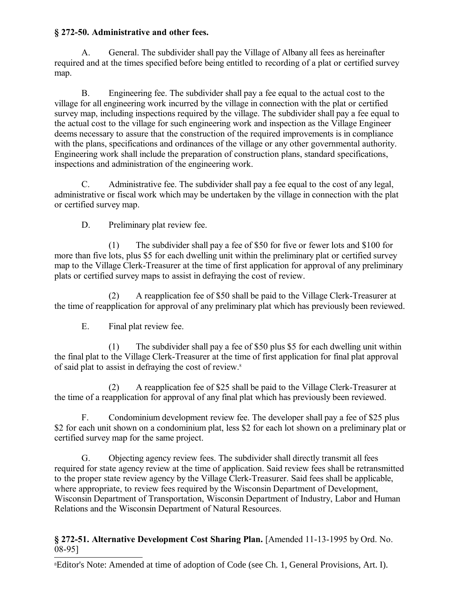## **§ 272-50. Administrative and other fees.**

A. General. The subdivider shall pay the Village of Albany all fees as hereinafter required and at the times specified before being entitled to recording of a plat or certified survey map.

B. Engineering fee. The subdivider shall pay a fee equal to the actual cost to the village for all engineering work incurred by the village in connection with the plat or certified survey map, including inspections required by the village. The subdivider shall pay a fee equal to the actual cost to the village for such engineering work and inspection as the Village Engineer deems necessary to assure that the construction of the required improvements is in compliance with the plans, specifications and ordinances of the village or any other governmental authority. Engineering work shall include the preparation of construction plans, standard specifications, inspections and administration of the engineering work.

C. Administrative fee. The subdivider shall pay a fee equal to the cost of any legal, administrative or fiscal work which may be undertaken by the village in connection with the plat or certified survey map.

D. Preliminary plat review fee.

(1) The subdivider shall pay a fee of \$50 for five or fewer lots and \$100 for more than five lots, plus \$5 for each dwelling unit within the preliminary plat or certified survey map to the Village Clerk-Treasurer at the time of first application for approval of any preliminary plats or certified survey maps to assist in defraying the cost of review.

(2) A reapplication fee of \$50 shall be paid to the Village Clerk-Treasurer at the time of reapplication for approval of any preliminary plat which has previously been reviewed.

E. Final plat review fee.

(1) The subdivider shall pay a fee of \$50 plus \$5 for each dwelling unit within the final plat to the Village Clerk-Treasurer at the time of first application for final plat approval of said plat to assist in defraying the cost of review.[8](#page-48-0)

(2) A reapplication fee of \$25 shall be paid to the Village Clerk-Treasurer at the time of a reapplication for approval of any final plat which has previously been reviewed.

F. Condominium development review fee. The developer shall pay a fee of \$25 plus \$2 for each unit shown on a condominium plat, less \$2 for each lot shown on a preliminary plat or certified survey map for the same project.

G. Objecting agency review fees. The subdivider shall directly transmit all fees required for state agency review at the time of application. Said review fees shall be retransmitted to the proper state review agency by the Village Clerk-Treasurer. Said fees shall be applicable, where appropriate, to review fees required by the Wisconsin Department of Development, Wisconsin Department of Transportation, Wisconsin Department of Industry, Labor and Human Relations and the Wisconsin Department of Natural Resources.

## **§ 272-51. Alternative Development Cost Sharing Plan.** [Amended 11-13-1995 by Ord. No. 08-95]

<span id="page-48-0"></span>8Editor's Note: Amended at time of adoption of Code (see Ch. 1, General Provisions, Art. I).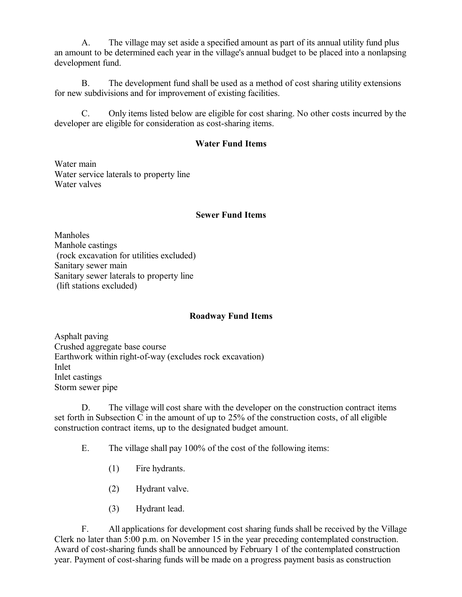A. The village may set aside a specified amount as part of its annual utility fund plus an amount to be determined each year in the village's annual budget to be placed into a nonlapsing development fund.

B. The development fund shall be used as a method of cost sharing utility extensions for new subdivisions and for improvement of existing facilities.

C. Only items listed below are eligible for cost sharing. No other costs incurred by the developer are eligible for consideration as cost-sharing items.

#### **Water Fund Items**

Water main Water service laterals to property line Water valves

#### **Sewer Fund Items**

Manholes Manhole castings (rock excavation for utilities excluded) Sanitary sewer main Sanitary sewer laterals to property line (lift stations excluded)

#### **Roadway Fund Items**

Asphalt paving Crushed aggregate base course Earthwork within right-of-way (excludes rock excavation) Inlet Inlet castings Storm sewer pipe

D. The village will cost share with the developer on the construction contract items set forth in Subsection C in the amount of up to 25% of the construction costs, of all eligible construction contract items, up to the designated budget amount.

E. The village shall pay 100% of the cost of the following items:

- (1) Fire hydrants.
- (2) Hydrant valve.
- (3) Hydrant lead.

F. All applications for development cost sharing funds shall be received by the Village Clerk no later than 5:00 p.m. on November 15 in the year preceding contemplated construction. Award of cost-sharing funds shall be announced by February 1 of the contemplated construction year. Payment of cost-sharing funds will be made on a progress payment basis as construction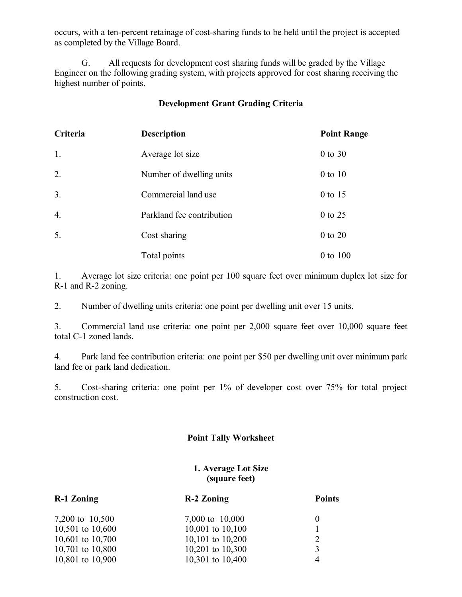occurs, with a ten-percent retainage of cost-sharing funds to be held until the project is accepted as completed by the Village Board.

G. All requests for development cost sharing funds will be graded by the Village Engineer on the following grading system, with projects approved for cost sharing receiving the highest number of points.

#### **Development Grant Grading Criteria**

| Criteria         | <b>Description</b>        | <b>Point Range</b> |
|------------------|---------------------------|--------------------|
| 1.               | Average lot size          | $0$ to $30$        |
| 2.               | Number of dwelling units  | $0$ to $10$        |
| 3.               | Commercial land use       | 0 to 15            |
| $\overline{4}$ . | Parkland fee contribution | 0 to 25            |
| 5.               | Cost sharing              | 0 to 20            |
|                  | Total points              | 0 to 100           |

1. Average lot size criteria: one point per 100 square feet over minimum duplex lot size for R-1 and R-2 zoning.

2. Number of dwelling units criteria: one point per dwelling unit over 15 units.

3. Commercial land use criteria: one point per 2,000 square feet over 10,000 square feet total C-1 zoned lands.

4. Park land fee contribution criteria: one point per \$50 per dwelling unit over minimum park land fee or park land dedication.

5. Cost-sharing criteria: one point per 1% of developer cost over 75% for total project construction cost.

## **Point Tally Worksheet**

#### **1. Average Lot Size (square feet)**

| <b>R-1 Zoning</b>  | <b>R-2 Zoning</b>  | <b>Points</b>  |  |
|--------------------|--------------------|----------------|--|
| 7,200 to 10,500    | 7,000 to 10,000    | $\theta$       |  |
| 10,501 to $10,600$ | 10,001 to 10,100   |                |  |
| 10,601 to $10,700$ | 10,101 to $10,200$ | 2              |  |
| 10,701 to 10,800   | 10,201 to $10,300$ | 3              |  |
| 10,801 to 10,900   | 10,301 to 10,400   | $\overline{4}$ |  |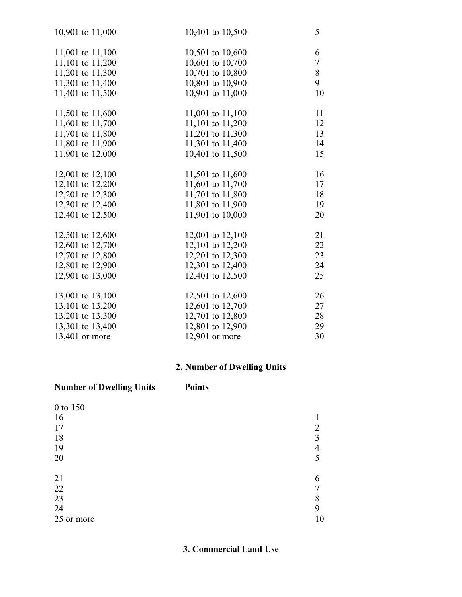| 10,901 to 11,000 | 10,401 to 10,500 | 5              |
|------------------|------------------|----------------|
| 11,001 to 11,100 | 10,501 to 10,600 | 6              |
| 11,101 to 11,200 | 10,601 to 10,700 | $\overline{7}$ |
| 11,201 to 11,300 | 10,701 to 10,800 | 8              |
| 11,301 to 11,400 | 10,801 to 10,900 | 9              |
| 11,401 to 11,500 | 10,901 to 11,000 | 10             |
| 11,501 to 11,600 | 11,001 to 11,100 | 11             |
| 11,601 to 11,700 | 11,101 to 11,200 | 12             |
| 11,701 to 11,800 | 11,201 to 11,300 | 13             |
| 11,801 to 11,900 | 11,301 to 11,400 | 14             |
| 11,901 to 12,000 | 10,401 to 11,500 | 15             |
| 12,001 to 12,100 | 11,501 to 11,600 | 16             |
| 12,101 to 12,200 | 11,601 to 11,700 | 17             |
| 12,201 to 12,300 | 11,701 to 11,800 | 18             |
| 12,301 to 12,400 | 11,801 to 11,900 | 19             |
| 12,401 to 12,500 | 11,901 to 10,000 | 20             |
| 12,501 to 12,600 | 12,001 to 12,100 | 21             |
| 12,601 to 12,700 | 12,101 to 12,200 | 22             |
| 12,701 to 12,800 | 12,201 to 12,300 | 23             |
| 12,801 to 12,900 | 12,301 to 12,400 | 24             |
| 12,901 to 13,000 | 12,401 to 12,500 | 25             |
| 13,001 to 13,100 | 12,501 to 12,600 | 26             |
| 13,101 to 13,200 | 12,601 to 12,700 | 27             |
| 13,201 to 13,300 | 12,701 to 12,800 | 28             |
| 13,301 to 13,400 | 12,801 to 12,900 | 29             |
| 13,401 or more   | 12,901 or more   | 30             |

# **2. Number of Dwelling Units**

| <b>Number of Dwelling Units</b>        | <b>Points</b>    |    |
|----------------------------------------|------------------|----|
| 0 to 150<br>16<br>17<br>18<br>19<br>20 | 2<br>3<br>4<br>5 |    |
| 21<br>22<br>23<br>24<br>25 or more     | 6<br>8<br>9      | 10 |

**3. Commercial Land Use**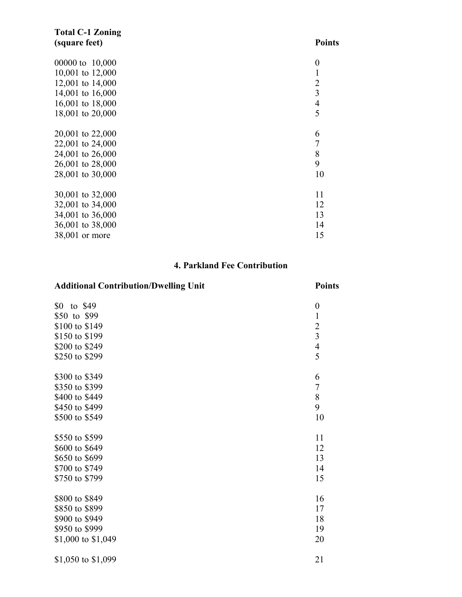| <b>Total C-1 Zoning</b> |                  |
|-------------------------|------------------|
| (square feet)           | <b>Points</b>    |
| 00000 to 10,000         | $\boldsymbol{0}$ |
| 10,001 to 12,000        | $\mathbf{1}$     |
| 12,001 to 14,000        | $\overline{2}$   |
| 14,001 to 16,000        | 3                |
| 16,001 to 18,000        | $\overline{4}$   |
| 18,001 to 20,000        | 5                |
| 20,001 to 22,000        | 6                |
| 22,001 to 24,000        | 7                |
| 24,001 to 26,000        | 8                |
| 26,001 to 28,000        | 9                |
| 28,001 to 30,000        | 10               |
| 30,001 to 32,000        | 11               |
| 32,001 to 34,000        | 12               |
| 34,001 to 36,000        | 13               |
| 36,001 to 38,000        | 14               |
| 38,001 or more          | 15               |

## **4. Parkland Fee Contribution**

## **Additional Contribution/Dwelling Unit Points**

| to \$49<br>\$0<br>\$50 to \$99<br>\$100 to \$149<br>\$150 to \$199<br>\$200 to \$249<br>\$250 to \$299 | $\boldsymbol{0}$<br>$\mathbf{1}$<br>$\frac{2}{3}$<br>$\frac{4}{5}$ |
|--------------------------------------------------------------------------------------------------------|--------------------------------------------------------------------|
| \$300 to \$349                                                                                         | 6                                                                  |
| \$350 to \$399                                                                                         | $\sqrt{ }$                                                         |
| \$400 to \$449                                                                                         | 8                                                                  |
| \$450 to \$499                                                                                         | 9                                                                  |
| \$500 to \$549                                                                                         | 10                                                                 |
| \$550 to \$599                                                                                         | 11                                                                 |
| \$600 to \$649                                                                                         | 12                                                                 |
| \$650 to \$699                                                                                         | 13                                                                 |
| \$700 to \$749                                                                                         | 14                                                                 |
| \$750 to \$799                                                                                         | 15                                                                 |
|                                                                                                        |                                                                    |
| \$800 to \$849                                                                                         | 16                                                                 |
| \$850 to \$899                                                                                         | 17                                                                 |
| \$900 to \$949                                                                                         | 18                                                                 |
| \$950 to \$999                                                                                         | 19                                                                 |
| \$1,000 to \$1,049                                                                                     | 20                                                                 |

\$1,050 to \$1,099 21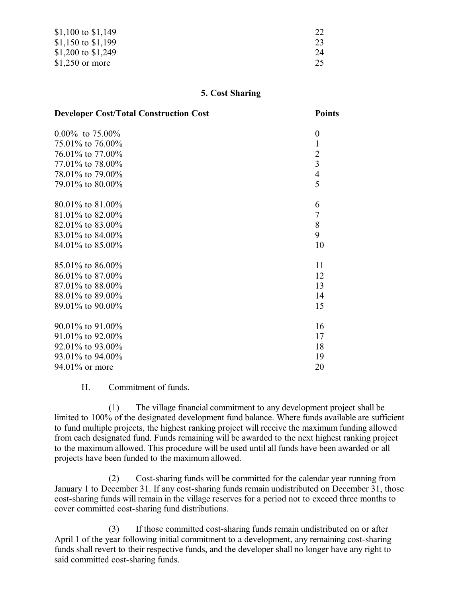| \$1,100 to \$1,149 |    |
|--------------------|----|
| \$1,150 to \$1,199 | 23 |
| \$1,200 to \$1,249 | 24 |
| $$1,250$ or more   | 25 |

#### **5. Cost Sharing**

| <b>Developer Cost/Total Construction Cost</b> | <b>Points</b>  |
|-----------------------------------------------|----------------|
| $0.00\%$ to 75.00%                            | $\theta$       |
| 75.01% to 76.00%                              | $\mathbf{1}$   |
| 76.01% to 77.00%                              | $\overline{2}$ |
| 77.01% to 78.00%                              | $\overline{3}$ |
| 78.01% to 79.00%                              | $\overline{4}$ |
| 79.01% to 80.00%                              | 5              |
| $80.01\%$ to $81.00\%$                        | 6              |
| 81.01% to 82.00%                              | $\overline{7}$ |
| 82.01% to 83.00%                              | 8              |
| 83.01% to 84.00%                              | 9              |
| 84.01% to 85.00%                              | 10             |
| 85.01% to 86.00%                              | 11             |
| 86.01% to 87.00%                              | 12             |
| 87.01% to 88.00%                              | 13             |
| 88.01% to 89.00%                              | 14             |
| 89.01% to 90.00%                              | 15             |
| $90.01\%$ to $91.00\%$                        | 16             |
| 91.01% to 92.00%                              | 17             |
| $92.01\%$ to $93.00\%$                        | 18             |
| 93.01\% to 94.00\%                            | 19             |
| 94.01% or more                                | 20             |

H. Commitment of funds.

(1) The village financial commitment to any development project shall be limited to 100% of the designated development fund balance. Where funds available are sufficient to fund multiple projects, the highest ranking project will receive the maximum funding allowed from each designated fund. Funds remaining will be awarded to the next highest ranking project to the maximum allowed. This procedure will be used until all funds have been awarded or all projects have been funded to the maximum allowed.

(2) Cost-sharing funds will be committed for the calendar year running from January 1 to December 31. If any cost-sharing funds remain undistributed on December 31, those cost-sharing funds will remain in the village reserves for a period not to exceed three months to cover committed cost-sharing fund distributions.

(3) If those committed cost-sharing funds remain undistributed on or after April 1 of the year following initial commitment to a development, any remaining cost-sharing funds shall revert to their respective funds, and the developer shall no longer have any right to said committed cost-sharing funds.